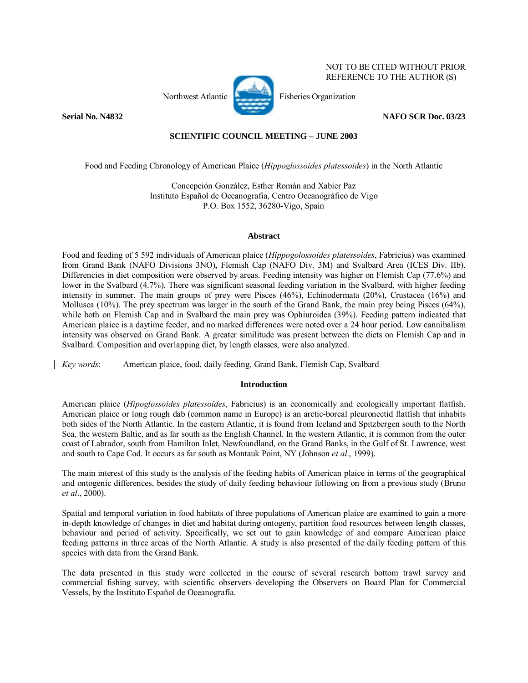

 NOT TO BE CITED WITHOUT PRIOR REFERENCE TO THE AUTHOR (S)

# **Serial No. N4832 NAFO SCR Doc. 03/23**

# **SCIENTIFIC COUNCIL MEETING – JUNE 2003**

Food and Feeding Chronology of American Plaice (*Hippoglossoides platessoides*) in the North Atlantic

Concepción González, Esther Román and Xabier Paz Instituto Español de Oceanografía, Centro Oceanográfico de Vigo P.O. Box 1552, 36280-Vigo, Spain

## **Abstract**

Food and feeding of 5 592 individuals of American plaice (*Hippogolossoides platessoides*, Fabricius) was examined from Grand Bank (NAFO Divisions 3NO), Flemish Cap (NAFO Div. 3M) and Svalbard Area (ICES Div. IIb). Differencies in diet composition were observed by areas. Feeding intensity was higher on Flemish Cap (77.6%) and lower in the Svalbard (4.7%). There was significant seasonal feeding variation in the Svalbard, with higher feeding intensity in summer. The main groups of prey were Pisces (46%), Echinodermata (20%), Crustacea (16%) and Mollusca (10%). The prey spectrum was larger in the south of the Grand Bank, the main prey being Pisces (64%), while both on Flemish Cap and in Svalbard the main prey was Ophiuroidea (39%). Feeding pattern indicated that American plaice is a daytime feeder, and no marked differences were noted over a 24 hour period. Low cannibalism intensity was observed on Grand Bank. A greater similitude was present between the diets on Flemish Cap and in Svalbard. Composition and overlapping diet, by length classes, were also analyzed.

*Key words*: American plaice, food, daily feeding, Grand Bank, Flemish Cap, Svalbard

# **Introduction**

American plaice (*Hipoglossoides platessoides*, Fabricius) is an economically and ecologically important flatfish. American plaice or long rough dab (common name in Europe) is an arctic-boreal pleuronectid flatfish that inhabits both sides of the North Atlantic. In the eastern Atlantic, it is found from Iceland and Spitzbergen south to the North Sea, the western Baltic, and as far south as the English Channel. In the western Atlantic, it is common from the outer coast of Labrador, south from Hamilton Inlet, Newfoundland, on the Grand Banks, in the Gulf of St. Lawrence, west and south to Cape Cod. It occurs as far south as Montauk Point, NY (Johnson *et al*., 1999).

The main interest of this study is the analysis of the feeding habits of American plaice in terms of the geographical and ontogenic differences, besides the study of daily feeding behaviour following on from a previous study (Bruno *et al*., 2000).

Spatial and temporal variation in food habitats of three populations of American plaice are examined to gain a more in-depth knowledge of changes in diet and habitat during ontogeny, partition food resources between length classes, behaviour and period of activity. Specifically, we set out to gain knowledge of and compare American plaice feeding patterns in three areas of the North Atlantic. A study is also presented of the daily feeding pattern of this species with data from the Grand Bank.

The data presented in this study were collected in the course of several research bottom trawl survey and commercial fishing survey, with scientific observers developing the Observers on Board Plan for Commercial Vessels, by the Instituto Español de Oceanografía.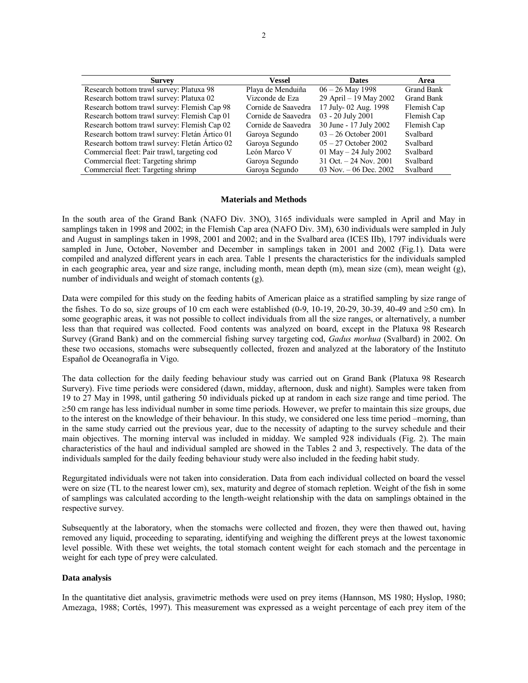| <b>Survey</b>                                  | Vessel              | <b>Dates</b>            | Area        |
|------------------------------------------------|---------------------|-------------------------|-------------|
| Research bottom trawl survey: Platuxa 98       | Playa de Menduiña   | $06 - 26$ May 1998      | Grand Bank  |
| Research bottom trawl survey: Platuxa 02       | Vizconde de Eza     | 29 April – 19 May 2002  | Grand Bank  |
| Research bottom trawl survey: Flemish Cap 98   | Cornide de Saavedra | 17 July-02 Aug. 1998    | Flemish Cap |
| Research bottom trawl survey: Flemish Cap 01   | Cornide de Saavedra | 03 - 20 July 2001       | Flemish Cap |
| Research bottom trawl survey: Flemish Cap 02   | Cornide de Saavedra | 30 June - 17 July 2002  | Flemish Cap |
| Research bottom trawl survey: Fletán Ártico 01 | Garoya Segundo      | $03 - 26$ October 2001  | Svalbard    |
| Research bottom trawl survey: Fletán Ártico 02 | Garoya Segundo      | $05 - 27$ October 2002  | Svalbard    |
| Commercial fleet: Pair trawl, targeting cod    | León Marco V        | 01 May $-$ 24 July 2002 | Svalbard    |
| Commercial fleet: Targeting shrimp             | Garoya Segundo      | 31 Oct. $-24$ Nov. 2001 | Svalbard    |
| Commercial fleet: Targeting shrimp             | Garoya Segundo      | 03 Nov. $-06$ Dec. 2002 | Svalbard    |

#### **Materials and Methods**

In the south area of the Grand Bank (NAFO Div. 3NO), 3165 individuals were sampled in April and May in samplings taken in 1998 and 2002; in the Flemish Cap area (NAFO Div. 3M), 630 individuals were sampled in July and August in samplings taken in 1998, 2001 and 2002; and in the Svalbard area (ICES IIb), 1797 individuals were sampled in June, October, November and December in samplings taken in 2001 and 2002 (Fig.1). Data were compiled and analyzed different years in each area. Table 1 presents the characteristics for the individuals sampled in each geographic area, year and size range, including month, mean depth (m), mean size (cm), mean weight (g), number of individuals and weight of stomach contents (g).

Data were compiled for this study on the feeding habits of American plaice as a stratified sampling by size range of the fishes. To do so, size groups of 10 cm each were established (0-9, 10-19, 20-29, 30-39, 40-49 and  $\geq 50$  cm). In some geographic areas, it was not possible to collect individuals from all the size ranges, or alternatively, a number less than that required was collected. Food contents was analyzed on board, except in the Platuxa 98 Research Survey (Grand Bank) and on the commercial fishing survey targeting cod, *Gadus morhua* (Svalbard) in 2002. On these two occasions, stomachs were subsequently collected, frozen and analyzed at the laboratory of the Instituto Español de Oceanografía in Vigo.

The data collection for the daily feeding behaviour study was carried out on Grand Bank (Platuxa 98 Research Survery). Five time periods were considered (dawn, midday, afternoon, dusk and night). Samples were taken from 19 to 27 May in 1998, until gathering 50 individuals picked up at random in each size range and time period. The ≥50 cm range has less individual number in some time periods. However, we prefer to maintain this size groups, due to the interest on the knowledge of their behaviour. In this study, we considered one less time period –morning, than in the same study carried out the previous year, due to the necessity of adapting to the survey schedule and their main objectives. The morning interval was included in midday. We sampled 928 individuals (Fig. 2). The main characteristics of the haul and individual sampled are showed in the Tables 2 and 3, respectively. The data of the individuals sampled for the daily feeding behaviour study were also included in the feeding habit study.

Regurgitated individuals were not taken into consideration. Data from each individual collected on board the vessel were on size (TL to the nearest lower cm), sex, maturity and degree of stomach repletion. Weight of the fish in some of samplings was calculated according to the length-weight relationship with the data on samplings obtained in the respective survey.

Subsequently at the laboratory, when the stomachs were collected and frozen, they were then thawed out, having removed any liquid, proceeding to separating, identifying and weighing the different preys at the lowest taxonomic level possible. With these wet weights, the total stomach content weight for each stomach and the percentage in weight for each type of prey were calculated.

### **Data analysis**

In the quantitative diet analysis, gravimetric methods were used on prey items (Hannson, MS 1980; Hyslop, 1980; Amezaga, 1988; Cortés, 1997). This measurement was expressed as a weight percentage of each prey item of the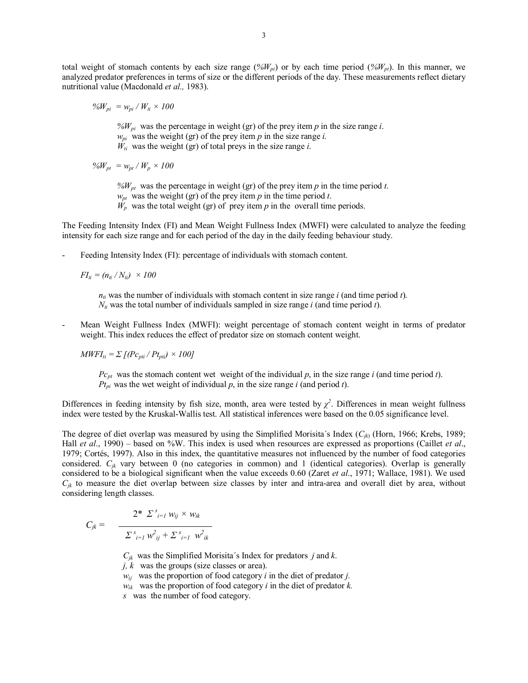total weight of stomach contents by each size range  $(\frac{\partial \delta W_{pj}}{\partial t})$  or by each time period  $(\frac{\partial \delta W_{pj}}{\partial t})$ . In this manner, we analyzed predator preferences in terms of size or the different periods of the day. These measurements reflect dietary nutritional value (Macdonald *et al.,* 1983).

$$
\%W_{pi} = w_{pi} / W_{ti} \times 100
$$

 $\frac{\partial}{\partial W_{pi}}$  was the percentage in weight (gr) of the prey item *p* in the size range *i*.  $w_{pi}$  was the weight (gr) of the prey item *p* in the size range *i*.  $W_{ti}$  was the weight (gr) of total preys in the size range *i*.

 $\%W_{pt} = w_{pt} / W_p \times 100$ 

 $\frac{6}{W_{pt}}$  was the percentage in weight (gr) of the prey item p in the time period t.  $w_{pt}$  was the weight (gr) of the prey item *p* in the time period *t*.

 $W_p$  was the total weight (gr) of prey item  $p$  in the overall time periods.

The Feeding Intensity Index (FI) and Mean Weight Fullness Index (MWFI) were calculated to analyze the feeding intensity for each size range and for each period of the day in the daily feeding behaviour study.

Feeding Intensity Index (FI): percentage of individuals with stomach content.

 $FI_{ti} = (n_{ti}/N_{ti}) \times 100$ 

 $n_i$  was the number of individuals with stomach content in size range *i* (and time period *t*).  $N_{ti}$  was the total number of individuals sampled in size range *i* (and time period *t*).

Mean Weight Fullness Index (MWFI): weight percentage of stomach content weight in terms of predator weight. This index reduces the effect of predator size on stomach content weight.

 $MWFI_{ti} = \sum (PC_{pit} / Pt_{pit}) \times 100$ 

*Pcpt* was the stomach content wet weight of the individual *p*, in the size range *i* (and time period *t*).  $Pt_{pi}$  was the wet weight of individual  $p$ , in the size range  $i$  (and period  $t$ ).

Differences in feeding intensity by fish size, month, area were tested by  $\chi^2$ . Differences in mean weight fullness index were tested by the Kruskal-Wallis test. All statistical inferences were based on the 0.05 significance level.

The degree of diet overlap was measured by using the Simplified Morisita's Index ( $C_{ik}$ ) (Horn, 1966; Krebs, 1989; Hall *et al.*, 1990) – based on %W. This index is used when resources are expressed as proportions (Caillet *et al.*, 1979; Cortés, 1997). Also in this index, the quantitative measures not influenced by the number of food categories considered. *Cjk* vary between 0 (no categories in common) and 1 (identical categories). Overlap is generally considered to be a biological significant when the value exceeds 0.60 (Zaret *et al*., 1971; Wallace, 1981). We used  $C_{ik}$  to measure the diet overlap between size classes by inter and intra-area and overall diet by area, without considering length classes.

$$
C_{jk} = \frac{2^* \sum_{i=1}^s w_{ij} \times w_{ik}}{\sum_{i=1}^s w_{ij}^2 + \sum_{i=1}^s w_{ik}^2}
$$

 $C_{ik}$  was the Simplified Morisita's Index for predators *j* and *k*.

*j, k* was the groups (size classes or area).

*wij* was the proportion of food category *i* in the diet of predator *j.*

 $w_{ik}$  was the proportion of food category *i* in the diet of predator *k*.

*s* was the number of food category.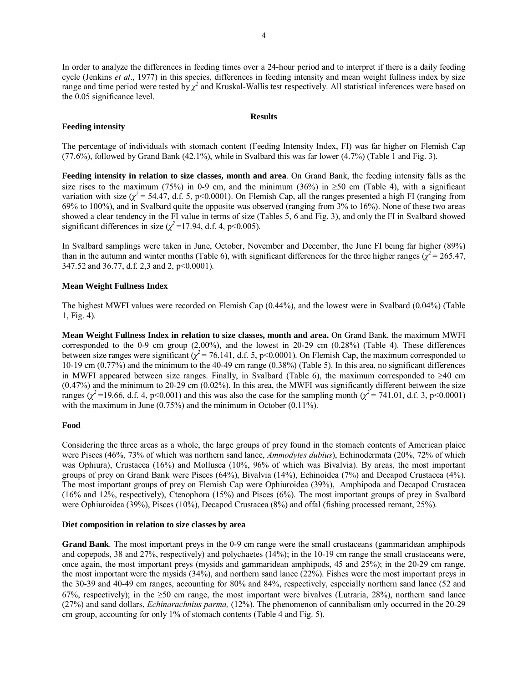In order to analyze the differences in feeding times over a 24-hour period and to interpret if there is a daily feeding cycle (Jenkins *et al.*, 1977) in this species, differences in feeding intensity and mean weight fullness index by size range and time period were tested by  $\chi^2$  and Kruskal-Wallis test respectively. All statistical inferences were based on the 0.05 significance level.

### **Feeding intensity**

### **Results**

The percentage of individuals with stomach content (Feeding Intensity Index, FI) was far higher on Flemish Cap (77.6%), followed by Grand Bank (42.1%), while in Svalbard this was far lower (4.7%) (Table 1 and Fig. 3).

**Feeding intensity in relation to size classes, month and area**. On Grand Bank, the feeding intensity falls as the size rises to the maximum (75%) in 0-9 cm, and the minimum (36%) in  $\geq$ 50 cm (Table 4), with a significant variation with size ( $\chi^2$  = 54.47, d.f. 5, p<0.0001). On Flemish Cap, all the ranges presented a high FI (ranging from 69% to 100%), and in Svalbard quite the opposite was observed (ranging from 3% to 16%). None of these two areas showed a clear tendency in the FI value in terms of size (Tables 5, 6 and Fig. 3), and only the FI in Svalbard showed significant differences in size  $(\chi^2 = 17.94, d.f. 4, p < 0.005)$ .

In Svalbard samplings were taken in June, October, November and December, the June FI being far higher (89%) than in the autumn and winter months (Table 6), with significant differences for the three higher ranges ( $\chi^2$  = 265.47, 347.52 and 36.77, d.f. 2,3 and 2, p<0.0001).

### **Mean Weight Fullness Index**

The highest MWFI values were recorded on Flemish Cap (0.44%), and the lowest were in Svalbard (0.04%) (Table 1, Fig. 4).

**Mean Weight Fullness Index in relation to size classes, month and area.** On Grand Bank, the maximum MWFI corresponded to the 0-9 cm group (2.00%), and the lowest in 20-29 cm (0.28%) (Table 4). These differences between size ranges were significant ( $\chi^2$  = 76.141, d.f. 5, p<0.0001). On Flemish Cap, the maximum corresponded to 10-19 cm (0.77%) and the minimum to the 40-49 cm range (0.38%) (Table 5). In this area, no significant differences in MWFI appeared between size ranges. Finally, in Svalbard (Table 6), the maximum corresponded to ≥40 cm  $(0.47%)$  and the minimum to 20-29 cm  $(0.02%)$ . In this area, the MWFI was significantly different between the size ranges ( $\chi^2$ =19.66, d.f. 4, p<0.001) and this was also the case for the sampling month ( $\chi^2$ = 741.01, d.f. 3, p<0.0001) with the maximum in June (0.75%) and the minimum in October (0.11%).

#### **Food**

Considering the three areas as a whole, the large groups of prey found in the stomach contents of American plaice were Pisces (46%, 73% of which was northern sand lance, *Ammodytes dubius*), Echinodermata (20%, 72% of which was Ophiura), Crustacea (16%) and Mollusca (10%, 96% of which was Bivalvia). By areas, the most important groups of prey on Grand Bank were Pisces (64%), Bivalvia (14%), Echinoidea (7%) and Decapod Crustacea (4%). The most important groups of prey on Flemish Cap were Ophiuroidea (39%), Amphipoda and Decapod Crustacea (16% and 12%, respectively), Ctenophora (15%) and Pisces (6%). The most important groups of prey in Svalbard were Ophiuroidea (39%), Pisces (10%), Decapod Crustacea (8%) and offal (fishing processed remant, 25%).

### **Diet composition in relation to size classes by area**

**Grand Bank**. The most important preys in the 0-9 cm range were the small crustaceans (gammaridean amphipods and copepods, 38 and 27%, respectively) and polychaetes (14%); in the 10-19 cm range the small crustaceans were, once again, the most important preys (mysids and gammaridean amphipods, 45 and 25%); in the 20-29 cm range, the most important were the mysids (34%), and northern sand lance (22%). Fishes were the most important preys in the 30-39 and 40-49 cm ranges, accounting for 80% and 84%, respectively, especially northern sand lance (52 and 67%, respectively); in the ≥50 cm range, the most important were bivalves (Lutraria, 28%), northern sand lance (27%) and sand dollars, *Echinarachnius parma,* (12%). The phenomenon of cannibalism only occurred in the 20-29 cm group, accounting for only 1% of stomach contents (Table 4 and Fig. 5).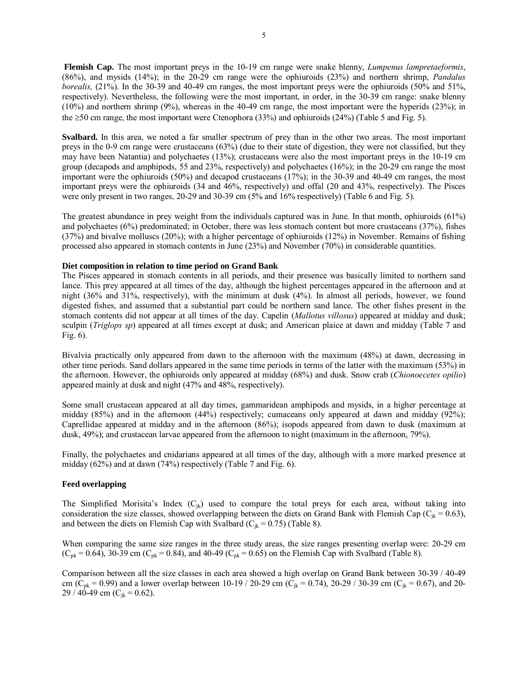**Flemish Cap.** The most important preys in the 10-19 cm range were snake blenny, *Lumpenus lampretaeformis*, (86%), and mysids (14%); in the 20-29 cm range were the ophiuroids (23%) and northern shrimp, *Pandalus borealis,* (21%). In the 30-39 and 40-49 cm ranges, the most important preys were the ophiuroids (50% and 51%, respectively). Nevertheless, the following were the most important, in order, in the 30-39 cm range: snake blenny (10%) and northern shrimp (9%), whereas in the 40-49 cm range, the most important were the hyperids (23%); in the  $\geq$ 50 cm range, the most important were Ctenophora (33%) and ophiuroids (24%) (Table 5 and Fig. 5).

**Svalbard.** In this area, we noted a far smaller spectrum of prey than in the other two areas. The most important preys in the 0-9 cm range were crustaceans (63%) (due to their state of digestion, they were not classified, but they may have been Natantia) and polychaetes (13%); crustaceans were also the most important preys in the 10-19 cm group (decapods and amphipods, 55 and 23%, respectively) and polychaetes (16%); in the 20-29 cm range the most important were the ophiuroids (50%) and decapod crustaceans (17%); in the 30-39 and 40-49 cm ranges, the most important preys were the ophiuroids (34 and 46%, respectively) and offal (20 and 43%, respectively). The Pisces were only present in two ranges, 20-29 and 30-39 cm (5% and 16% respectively) (Table 6 and Fig. 5).

The greatest abundance in prey weight from the individuals captured was in June. In that month, ophiuroids (61%) and polychaetes (6%) predominated; in October, there was less stomach content but more crustaceans (37%), fishes (37%) and bivalve molluscs (20%); with a higher percentage of ophiuroids (12%) in November. Remains of fishing processed also appeared in stomach contents in June (23%) and November (70%) in considerable quantities.

### **Diet composition in relation to time period on Grand Bank**

The Pisces appeared in stomach contents in all periods, and their presence was basically limited to northern sand lance. This prey appeared at all times of the day, although the highest percentages appeared in the afternoon and at night (36% and 31%, respectively), with the minimum at dusk (4%). In almost all periods, however, we found digested fishes, and assumed that a substantial part could be northern sand lance. The other fishes present in the stomach contents did not appear at all times of the day. Capelin (*Mallotus villosus*) appeared at midday and dusk; sculpin (*Triglops sp*) appeared at all times except at dusk; and American plaice at dawn and midday (Table 7 and Fig. 6).

Bivalvia practically only appeared from dawn to the afternoon with the maximum (48%) at dawn, decreasing in other time periods. Sand dollars appeared in the same time periods in terms of the latter with the maximum (53%) in the afternoon. However, the ophiuroids only appeared at midday (68%) and dusk. Snow crab (*Chionoecetes opilio*) appeared mainly at dusk and night (47% and 48%, respectively).

Some small crustacean appeared at all day times, gammaridean amphipods and mysids, in a higher percentage at midday  $(85\%)$  and in the afternoon  $(44\%)$  respectively; cumaceans only appeared at dawn and midday  $(92\%)$ ; Caprellidae appeared at midday and in the afternoon (86%); isopods appeared from dawn to dusk (maximum at dusk, 49%); and crustacean larvae appeared from the afternoon to night (maximum in the afternoon, 79%).

Finally, the polychaetes and cnidarians appeared at all times of the day, although with a more marked presence at midday (62%) and at dawn (74%) respectively (Table 7 and Fig. 6).

### **Feed overlapping**

The Simplified Morisita's Index  $(C_{ik})$  used to compare the total preys for each area, without taking into consideration the size classes, showed overlapping between the diets on Grand Bank with Flemish Cap ( $C_{ik} = 0.63$ ), and between the diets on Flemish Cap with Svalbard ( $C_{ik} = 0.75$ ) (Table 8).

When comparing the same size ranges in the three study areas, the size ranges presenting overlap were: 20-29 cm  $(C_{pk} = 0.64)$ , 30-39 cm  $(C_{pk} = 0.84)$ , and 40-49  $(C_{pk} = 0.65)$  on the Flemish Cap with Svalbard (Table 8).

Comparison between all the size classes in each area showed a high overlap on Grand Bank between 30-39 / 40-49 cm (C<sub>pk</sub> = 0.99) and a lower overlap between 10-19 / 20-29 cm (C<sub>jk</sub> = 0.74), 20-29 / 30-39 cm (C<sub>jk</sub> = 0.67), and 20-29 / 40-49 cm ( $C_{ik}$  = 0.62).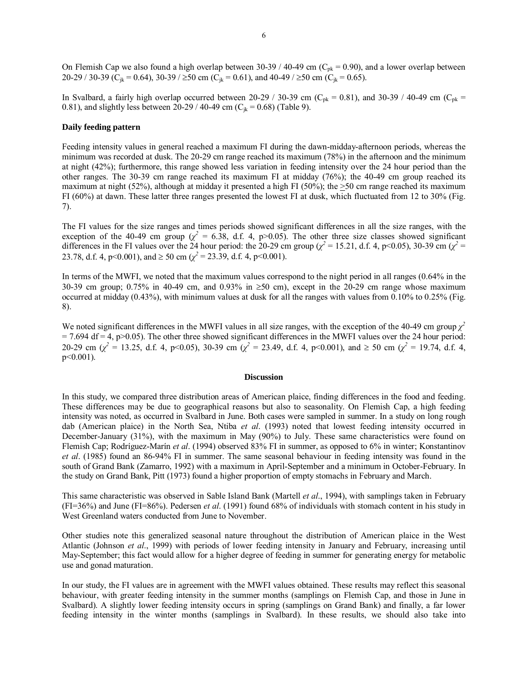On Flemish Cap we also found a high overlap between 30-39 / 40-49 cm ( $C_{pk}$  = 0.90), and a lower overlap between 20-29 / 30-39 (C<sub>ik</sub> = 0.64), 30-39 / ≥50 cm (C<sub>ik</sub> = 0.61), and 40-49 / ≥50 cm (C<sub>ik</sub> = 0.65).

In Svalbard, a fairly high overlap occurred between 20-29 / 30-39 cm ( $C_{pk}$  = 0.81), and 30-39 / 40-49 cm ( $C_{pk}$  = 0.81), and slightly less between 20-29 / 40-49 cm ( $C_{ik}$  = 0.68) (Table 9).

#### **Daily feeding pattern**

Feeding intensity values in general reached a maximum FI during the dawn-midday-afternoon periods, whereas the minimum was recorded at dusk. The 20-29 cm range reached its maximum (78%) in the afternoon and the minimum at night (42%); furthermore, this range showed less variation in feeding intensity over the 24 hour period than the other ranges. The 30-39 cm range reached its maximum FI at midday (76%); the 40-49 cm group reached its maximum at night (52%), although at midday it presented a high FI (50%); the >50 cm range reached its maximum FI (60%) at dawn. These latter three ranges presented the lowest FI at dusk, which fluctuated from 12 to 30% (Fig. 7).

The FI values for the size ranges and times periods showed significant differences in all the size ranges, with the exception of the 40-49 cm group ( $\chi^2$  = 6.38, d.f. 4, p>0.05). The other three size classes showed significant differences in the FI values over the 24 hour period: the 20-29 cm group ( $\chi^2$  = 15.21, d.f. 4, p<0.05), 30-39 cm ( $\chi^2$  = 23.78, d.f. 4, p<0.001), and  $\geq$  50 cm ( $\chi^2$  = 23.39, d.f. 4, p<0.001).

In terms of the MWFI, we noted that the maximum values correspond to the night period in all ranges (0.64% in the 30-39 cm group; 0.75% in 40-49 cm, and 0.93% in ≥50 cm), except in the 20-29 cm range whose maximum occurred at midday (0.43%), with minimum values at dusk for all the ranges with values from 0.10% to 0.25% (Fig. 8).

We noted significant differences in the MWFI values in all size ranges, with the exception of the 40-49 cm group  $\chi^2$  $= 7.694$  df  $= 4$ , p $> 0.05$ ). The other three showed significant differences in the MWFI values over the 24 hour period: 20-29 cm ( $\chi^2$  = 13.25, d.f. 4, p<0.05), 30-39 cm ( $\chi^2$  = 23.49, d.f. 4, p<0.001), and  $\geq$  50 cm ( $\chi^2$  = 19.74, d.f. 4, p<0.001).

#### **Discussion**

In this study, we compared three distribution areas of American plaice, finding differences in the food and feeding. These differences may be due to geographical reasons but also to seasonality. On Flemish Cap, a high feeding intensity was noted, as occurred in Svalbard in June. Both cases were sampled in summer. In a study on long rough dab (American plaice) in the North Sea, Ntiba *et al*. (1993) noted that lowest feeding intensity occurred in December-January (31%), with the maximum in May (90%) to July. These same characteristics were found on Flemish Cap; Rodríguez-Marín *et al.* (1994) observed 83% FI in summer, as opposed to 6% in winter; Konstantinov *et al*. (1985) found an 86-94% FI in summer. The same seasonal behaviour in feeding intensity was found in the south of Grand Bank (Zamarro, 1992) with a maximum in April-September and a minimum in October-February. In the study on Grand Bank, Pitt (1973) found a higher proportion of empty stomachs in February and March.

This same characteristic was observed in Sable Island Bank (Martell *et al*., 1994), with samplings taken in February (FI=36%) and June (FI=86%). Pedersen *et al*. (1991) found 68% of individuals with stomach content in his study in West Greenland waters conducted from June to November.

Other studies note this generalized seasonal nature throughout the distribution of American plaice in the West Atlantic (Johnson *et al*., 1999) with periods of lower feeding intensity in January and February, increasing until May-September; this fact would allow for a higher degree of feeding in summer for generating energy for metabolic use and gonad maturation.

In our study, the FI values are in agreement with the MWFI values obtained. These results may reflect this seasonal behaviour, with greater feeding intensity in the summer months (samplings on Flemish Cap, and those in June in Svalbard). A slightly lower feeding intensity occurs in spring (samplings on Grand Bank) and finally, a far lower feeding intensity in the winter months (samplings in Svalbard). In these results, we should also take into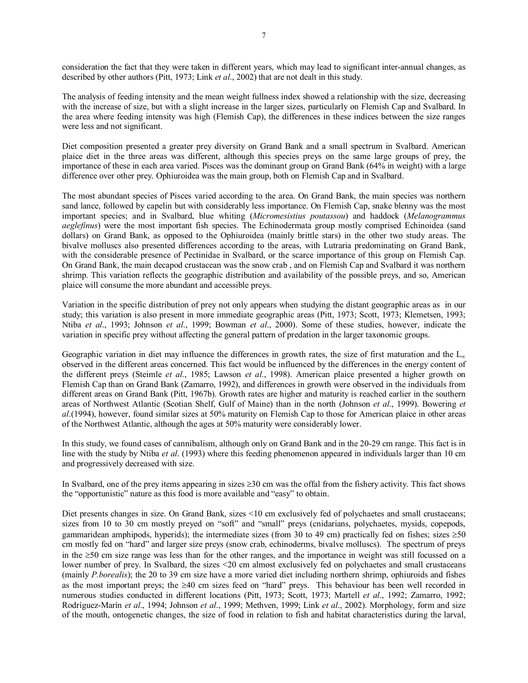consideration the fact that they were taken in different years, which may lead to significant inter-annual changes, as described by other authors (Pitt, 1973; Link *et al*., 2002) that are not dealt in this study.

The analysis of feeding intensity and the mean weight fullness index showed a relationship with the size, decreasing with the increase of size, but with a slight increase in the larger sizes, particularly on Flemish Cap and Svalbard. In the area where feeding intensity was high (Flemish Cap), the differences in these indices between the size ranges were less and not significant.

Diet composition presented a greater prey diversity on Grand Bank and a small spectrum in Svalbard. American plaice diet in the three areas was different, although this species preys on the same large groups of prey, the importance of these in each area varied. Pisces was the dominant group on Grand Bank (64% in weight) with a large difference over other prey. Ophiuroidea was the main group, both on Flemish Cap and in Svalbard.

The most abundant species of Pisces varied according to the area. On Grand Bank, the main species was northern sand lance, followed by capelin but with considerably less importance. On Flemish Cap, snake blenny was the most important species; and in Svalbard, blue whiting (*Micromesistius poutassou*) and haddock (*Melanogrammus aeglefinus*) were the most important fish species. The Echinodermata group mostly comprised Echinoidea (sand dollars) on Grand Bank, as opposed to the Ophiuroidea (mainly brittle stars) in the other two study areas. The bivalve molluscs also presented differences according to the areas, with Lutraria predominating on Grand Bank, with the considerable presence of Pectinidae in Svalbard, or the scarce importance of this group on Flemish Cap. On Grand Bank, the main decapod crustacean was the snow crab , and on Flemish Cap and Svalbard it was northern shrimp. This variation reflects the geographic distribution and availability of the possible preys, and so, American plaice will consume the more abundant and accessible preys.

Variation in the specific distribution of prey not only appears when studying the distant geographic areas as in our study; this variation is also present in more immediate geographic areas (Pitt, 1973; Scott, 1973; Klemetsen, 1993; Ntiba *et al*., 1993; Johnson *et al*., 1999; Bowman *et al*., 2000). Some of these studies, however, indicate the variation in specific prey without affecting the general pattern of predation in the larger taxonomic groups.

Geographic variation in diet may influence the differences in growth rates, the size of first maturation and the  $L_{\infty}$ observed in the different areas concerned. This fact would be influenced by the differences in the energy content of the different preys (Steimle *et al*., 1985; Lawson *et al*., 1998). American plaice presented a higher growth on Flemish Cap than on Grand Bank (Zamarro, 1992), and differences in growth were observed in the individuals from different areas on Grand Bank (Pitt, 1967b). Growth rates are higher and maturity is reached earlier in the southern areas of Northwest Atlantic (Scotian Shelf, Gulf of Maine) than in the north (Johnson *et al*., 1999). Bowering *et al*.(1994), however, found similar sizes at 50% maturity on Flemish Cap to those for American plaice in other areas of the Northwest Atlantic, although the ages at 50% maturity were considerably lower.

In this study, we found cases of cannibalism, although only on Grand Bank and in the 20-29 cm range. This fact is in line with the study by Ntiba *et al*. (1993) where this feeding phenomenon appeared in individuals larger than 10 cm and progressively decreased with size.

In Svalbard, one of the prey items appearing in sizes ≥30 cm was the offal from the fishery activity. This fact shows the "opportunistic" nature as this food is more available and "easy" to obtain.

Diet presents changes in size. On Grand Bank, sizes <10 cm exclusively fed of polychaetes and small crustaceans; sizes from 10 to 30 cm mostly preyed on "soft" and "small" preys (cnidarians, polychaetes, mysids, copepods, gammaridean amphipods, hyperids); the intermediate sizes (from 30 to 49 cm) practically fed on fishes; sizes  $\geq 50$ cm mostly fed on "hard" and larger size preys (snow crab, echinoderms, bivalve molluscs). The spectrum of preys in the ≥50 cm size range was less than for the other ranges, and the importance in weight was still focussed on a lower number of prey. In Svalbard, the sizes <20 cm almost exclusively fed on polychaetes and small crustaceans (mainly *P.borealis*); the 20 to 39 cm size have a more varied diet including northern shrimp, ophiuroids and fishes as the most important preys; the  $\geq 40$  cm sizes feed on "hard" preys. This behaviour has been well recorded in numerous studies conducted in different locations (Pitt, 1973; Scott, 1973; Martell *et al*., 1992; Zamarro, 1992; Rodríguez-Marín *et al.*, 1994; Johnson *et al.*, 1999; Methven, 1999; Link *et al.*, 2002). Morphology, form and size of the mouth, ontogenetic changes, the size of food in relation to fish and habitat characteristics during the larval,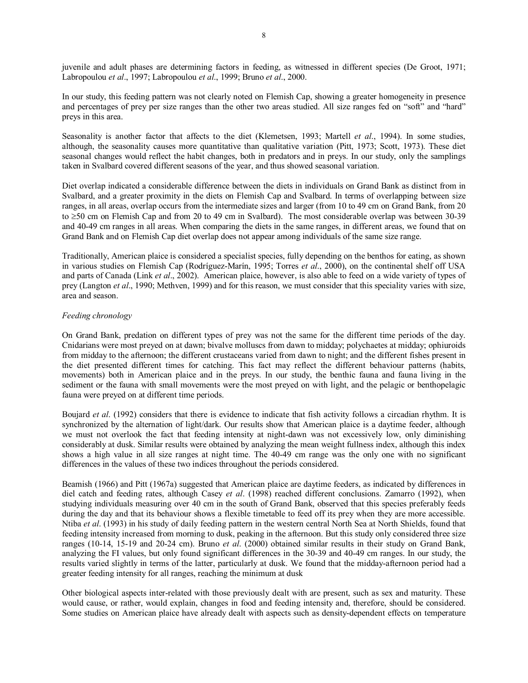juvenile and adult phases are determining factors in feeding, as witnessed in different species (De Groot, 1971; Labropoulou *et al*., 1997; Labropoulou *et al*., 1999; Bruno *et al*., 2000.

In our study, this feeding pattern was not clearly noted on Flemish Cap, showing a greater homogeneity in presence and percentages of prey per size ranges than the other two areas studied. All size ranges fed on "soft" and "hard" preys in this area.

Seasonality is another factor that affects to the diet (Klemetsen, 1993; Martell *et al*., 1994). In some studies, although, the seasonality causes more quantitative than qualitative variation (Pitt, 1973; Scott, 1973). These diet seasonal changes would reflect the habit changes, both in predators and in preys. In our study, only the samplings taken in Svalbard covered different seasons of the year, and thus showed seasonal variation.

Diet overlap indicated a considerable difference between the diets in individuals on Grand Bank as distinct from in Svalbard, and a greater proximity in the diets on Flemish Cap and Svalbard. In terms of overlapping between size ranges, in all areas, overlap occurs from the intermediate sizes and larger (from 10 to 49 cm on Grand Bank, from 20 to ≥50 cm on Flemish Cap and from 20 to 49 cm in Svalbard). The most considerable overlap was between 30-39 and 40-49 cm ranges in all areas. When comparing the diets in the same ranges, in different areas, we found that on Grand Bank and on Flemish Cap diet overlap does not appear among individuals of the same size range.

Traditionally, American plaice is considered a specialist species, fully depending on the benthos for eating, as shown in various studies on Flemish Cap (Rodríguez-Marín, 1995; Torres *et al.*, 2000), on the continental shelf off USA and parts of Canada (Link *et al*., 2002). American plaice, however, is also able to feed on a wide variety of types of prey (Langton *et al*., 1990; Methven, 1999) and for this reason, we must consider that this speciality varies with size, area and season.

## *Feeding chronology*

On Grand Bank, predation on different types of prey was not the same for the different time periods of the day. Cnidarians were most preyed on at dawn; bivalve molluscs from dawn to midday; polychaetes at midday; ophiuroids from midday to the afternoon; the different crustaceans varied from dawn to night; and the different fishes present in the diet presented different times for catching. This fact may reflect the different behaviour patterns (habits, movements) both in American plaice and in the preys. In our study, the benthic fauna and fauna living in the sediment or the fauna with small movements were the most preyed on with light, and the pelagic or benthopelagic fauna were preyed on at different time periods.

Boujard *et al*. (1992) considers that there is evidence to indicate that fish activity follows a circadian rhythm. It is synchronized by the alternation of light/dark. Our results show that American plaice is a daytime feeder, although we must not overlook the fact that feeding intensity at night-dawn was not excessively low, only diminishing considerably at dusk. Similar results were obtained by analyzing the mean weight fullness index, although this index shows a high value in all size ranges at night time. The 40-49 cm range was the only one with no significant differences in the values of these two indices throughout the periods considered.

Beamish (1966) and Pitt (1967a) suggested that American plaice are daytime feeders, as indicated by differences in diel catch and feeding rates, although Casey *et al*. (1998) reached different conclusions. Zamarro (1992), when studying individuals measuring over 40 cm in the south of Grand Bank, observed that this species preferably feeds during the day and that its behaviour shows a flexible timetable to feed off its prey when they are more accessible. Ntiba *et al*. (1993) in his study of daily feeding pattern in the western central North Sea at North Shields, found that feeding intensity increased from morning to dusk, peaking in the afternoon. But this study only considered three size ranges (10-14, 15-19 and 20-24 cm). Bruno *et al*. (2000) obtained similar results in their study on Grand Bank, analyzing the FI values, but only found significant differences in the 30-39 and 40-49 cm ranges. In our study, the results varied slightly in terms of the latter, particularly at dusk. We found that the midday-afternoon period had a greater feeding intensity for all ranges, reaching the minimum at dusk

Other biological aspects inter-related with those previously dealt with are present, such as sex and maturity. These would cause, or rather, would explain, changes in food and feeding intensity and, therefore, should be considered. Some studies on American plaice have already dealt with aspects such as density-dependent effects on temperature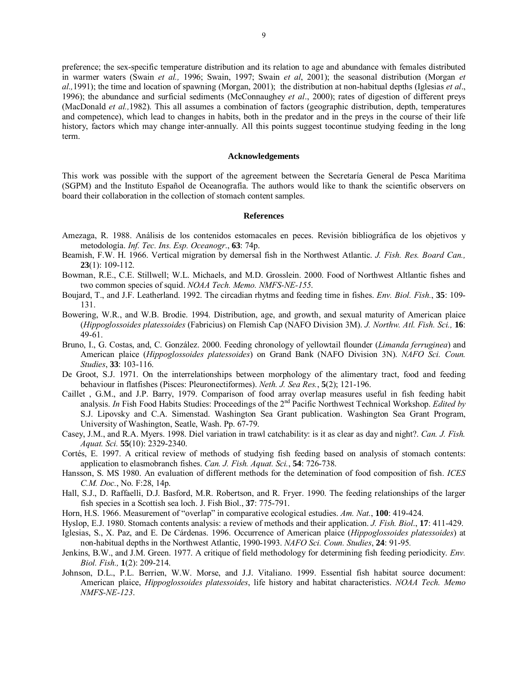preference; the sex-specific temperature distribution and its relation to age and abundance with females distributed in warmer waters (Swain *et al.,* 1996; Swain, 1997; Swain *et al*, 2001); the seasonal distribution (Morgan *et al.,*1991); the time and location of spawning (Morgan, 2001); the distribution at non-habitual depths (Iglesias *et al*., 1996); the abundance and surficial sediments (McConnaughey *et al*., 2000); rates of digestion of different preys (MacDonald *et al.,*1982). This all assumes a combination of factors (geographic distribution, depth, temperatures and competence), which lead to changes in habits, both in the predator and in the preys in the course of their life history, factors which may change inter-annually. All this points suggest tocontinue studying feeding in the long term.

#### **Acknowledgements**

This work was possible with the support of the agreement between the Secretaría General de Pesca Marítima (SGPM) and the Instituto Español de Oceanografía. The authors would like to thank the scientific observers on board their collaboration in the collection of stomach content samples.

#### **References**

- Amezaga, R. 1988. Análisis de los contenidos estomacales en peces. Revisión bibliográfica de los objetivos y metodología. *Inf. Tec. Ins. Esp. Oceanogr.*, **63**: 74p.
- Beamish, F.W. H. 1966. Vertical migration by demersal fish in the Northwest Atlantic. *J. Fish. Res. Board Can.,* **23**(1): 109-112.
- Bowman, R.E., C.E. Stillwell; W.L. Michaels, and M.D. Grosslein. 2000. Food of Northwest Altlantic fishes and two common species of squid. *NOAA Tech. Memo. NMFS-NE-155*.
- Boujard, T., and J.F. Leatherland. 1992. The circadian rhytms and feeding time in fishes. *Env. Biol. Fish.*, **35**: 109- 131.
- Bowering, W.R., and W.B. Brodie. 1994. Distribution, age, and growth, and sexual maturity of American plaice (*Hippoglossoides platessoides* (Fabricius) on Flemish Cap (NAFO Division 3M). *J. Northw. Atl. Fish. Sci.,* **16**: 49-61.
- Bruno, I., G. Costas, and, C. González. 2000. Feeding chronology of yellowtail flounder (*Limanda ferruginea*) and American plaice (*Hippoglossoides platessoides*) on Grand Bank (NAFO Division 3N). *NAFO Sci. Coun. Studies*, **33**: 103-116.
- De Groot, S.J. 1971. On the interrelationships between morphology of the alimentary tract, food and feeding behaviour in flatfishes (Pisces: Pleuronectiformes). *Neth. J. Sea Res.*, **5**(2); 121-196.
- Caillet , G.M., and J.P. Barry, 1979. Comparison of food array overlap measures useful in fish feeding habit analysis. *In* Fish Food Habits Studies: Proceedings of the 2<sup>nd</sup> Pacific Northwest Technical Workshop. *Edited by* S.J. Lipovsky and C.A. Simenstad. Washington Sea Grant publication. Washington Sea Grant Program, University of Washington, Seatle, Wash. Pp. 67-79.
- Casey, J.M., and R.A. Myers. 1998. Diel variation in trawl catchability: is it as clear as day and night?. *Can. J. Fish. Aquat. Sci.* **55**(10): 2329-2340.
- Cortés, E. 1997. A critical review of methods of studying fish feeding based on analysis of stomach contents: application to elasmobranch fishes. *Can. J. Fish. Aquat. Sci.*, **54**: 726-738.
- Hansson, S. MS 1980. An evaluation of different methods for the detemination of food composition of fish. *ICES C.M. Doc.*, No. F:28, 14p.
- Hall, S.J., D. Raffaelli, D.J. Basford, M.R. Robertson, and R. Fryer. 1990. The feeding relationships of the larger fish species in a Scottish sea loch. J. Fish Biol., **37**: 775-791.
- Horn, H.S. 1966. Measurement of "overlap" in comparative ecological estudies. Am. Nat., 100: 419-424.
- Hyslop, E.J. 1980. Stomach contents analysis: a review of methods and their application. *J. Fish. Biol*., **17**: 411-429.
- Iglesias, S., X. Paz, and E. De Cárdenas. 1996. Occurrence of American plaice (*Hippoglossoides platessoides*) at
- non-habitual depths in the Northwest Atlantic, 1990-1993. *NAFO Sci. Coun. Studies*, **24**: 91-95*.*
- Jenkins, B.W., and J.M. Green. 1977. A critique of field methodology for determining fish feeding periodicity. *Env. Biol. Fish.,* **1**(2): 209-214.
- Johnson, D.L., P.L. Berrien, W.W. Morse, and J.J. Vitaliano. 1999. Essential fish habitat source document: American plaice, *Hippoglossoides platessoides*, life history and habitat characteristics. *NOAA Tech. Memo NMFS-NE-123*.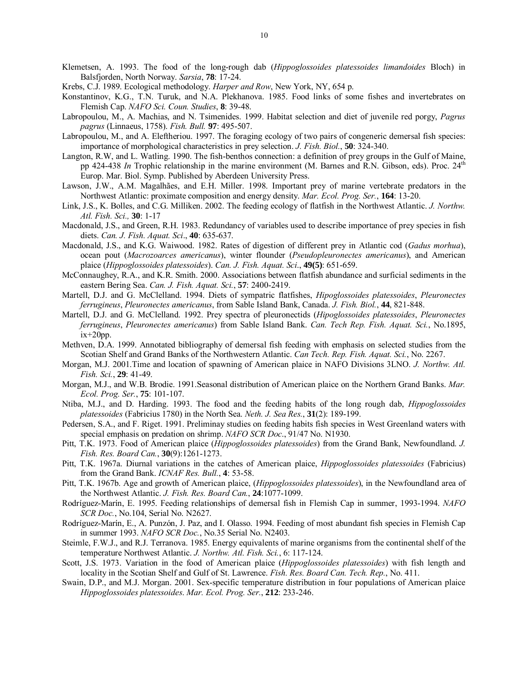- Klemetsen, A. 1993. The food of the long-rough dab (*Hippoglossoides platessoides limandoides* Bloch) in Balsfjorden, North Norway. *Sarsia*, **78**: 17-24.
- Krebs, C.J. 1989. Ecological methodology. *Harper and Row*, New York, NY, 654 p.
- Konstantinov, K.G., T.N. Turuk, and N.A. Plekhanova. 1985. Food links of some fishes and invertebrates on Flemish Cap. *NAFO Sci. Coun. Studies*, **8**: 39-48.
- Labropoulou, M., A. Machias, and N. Tsimenides. 1999. Habitat selection and diet of juvenile red porgy, *Pagrus pagrus* (Linnaeus, 1758). *Fish. Bull.* **97**: 495-507.
- Labropoulou, M., and A. Eleftheriou. 1997. The foraging ecology of two pairs of congeneric demersal fish species: importance of morphological characteristics in prey selection. *J. Fish. Biol.*, **50**: 324-340.
- Langton, R.W, and L. Watling. 1990. The fish-benthos connection: a definition of prey groups in the Gulf of Maine, pp 424-438 *In* Trophic relationship in the marine environment (M. Barnes and R.N. Gibson, eds). Proc. 24<sup>th</sup> Europ. Mar. Biol. Symp. Published by Aberdeen University Press.
- Lawson, J.W., A.M. Magalhães, and E.H. Miller. 1998. Important prey of marine vertebrate predators in the Northwest Atlantic: proximate composition and energy density. *Mar. Ecol. Prog. Ser.*, **164**: 13-20.
- Link, J.S., K. Bolles, and C.G. Milliken. 2002. The feeding ecology of flatfish in the Northwest Atlantic. *J. Northw. Atl. Fish. Sci.,* **30**: 1-17
- Macdonald, J.S., and Green, R.H. 1983. Redundancy of variables used to describe importance of prey species in fish diets. *Can. J. Fish. Aquat. Sci*., **40**: 635-637.
- Macdonald, J.S., and K.G. Waiwood. 1982. Rates of digestion of different prey in Atlantic cod (*Gadus morhua*), ocean pout (*Macrozoarces americanus*), winter flounder (*Pseudopleuronectes americanus*), and American plaice (*Hippoglossoides platessoides*). *Can. J. Fish. Aquat. Sci*., **49(5)**: 651-659.
- McConnaughey, R.A., and K.R. Smith. 2000. Associations between flatfish abundance and surficial sediments in the eastern Bering Sea. *Can. J. Fish. Aquat. Sci.*, **57**: 2400-2419.
- Martell, D.J. and G. McClelland. 1994. Diets of sympatric flatfishes, *Hipoglossoides platessoides*, *Pleuronectes ferrugineus*, *Pleuronectes americanus*, from Sable Island Bank, Canada. *J. Fish. Biol.*, **44**, 821-848.
- Martell, D.J. and G. McClelland. 1992. Prey spectra of pleuronectids (*Hipoglossoides platessoides*, *Pleuronectes ferrugineus*, *Pleuronectes americanus*) from Sable Island Bank. *Can. Tech Rep. Fish. Aquat. Sci.*, No.1895,  $ix+20p$
- Methven, D.A. 1999. Annotated bibliography of demersal fish feeding with emphasis on selected studies from the Scotian Shelf and Grand Banks of the Northwestern Atlantic. *Can Tech. Rep. Fish. Aquat. Sci.*, No. 2267.
- Morgan, M.J. 2001.Time and location of spawning of American plaice in NAFO Divisions 3LNO. *J. Northw. Atl. Fish. Sci.*, **29**: 41-49.
- Morgan, M.J., and W.B. Brodie. 1991.Seasonal distribution of American plaice on the Northern Grand Banks. *Mar. Ecol. Prog. Ser.*, **75**: 101-107.
- Ntiba, M.J., and D. Harding. 1993. The food and the feeding habits of the long rough dab, *Hippoglossoides platessoides* (Fabricius 1780) in the North Sea. *Neth. J. Sea Res.*, **31**(2): 189-199.
- Pedersen, S.A., and F. Riget. 1991. Preliminay studies on feeding habits fish species in West Greenland waters with special emphasis on predation on shrimp. *NAFO SCR Doc*., 91/47 No. N1930.
- Pitt, T.K. 1973. Food of American plaice (*Hippoglossoides platessoides*) from the Grand Bank, Newfoundland. *J. Fish. Res. Board Can.*, **30**(9):1261-1273.
- Pitt, T.K. 1967a. Diurnal variations in the catches of American plaice, *Hippoglossoides platessoides* (Fabricius) from the Grand Bank. *ICNAF Res. Bull.*, **4**: 53-58.
- Pitt, T.K. 1967b. Age and growth of American plaice, (*Hippoglossoides platessoides*), in the Newfoundland area of the Northwest Atlantic. *J. Fish. Res. Board Can.*, **24**:1077-1099.
- RodrÌguez-MarÌn, E. 1995. Feeding relationships of demersal fish in Flemish Cap in summer, 1993-1994. *NAFO SCR Doc.*, No.104, Serial No. N2627.
- Rodríguez-Marín, E., A. Punzón, J. Paz, and I. Olasso. 1994. Feeding of most abundant fish species in Flemish Cap in summer 1993. *NAFO SCR Doc.*, No.35 Serial No. N2403.
- Steimle, F.W.J., and R.J. Terranova. 1985. Energy equivalents of marine organisms from the continental shelf of the temperature Northwest Atlantic. *J. Northw. Atl. Fish. Sci.*, 6: 117-124.
- Scott, J.S. 1973. Variation in the food of American plaice (*Hippoglossoides platessoides*) with fish length and locality in the Scotian Shelf and Gulf of St. Lawrence. *Fish. Res. Board Can. Tech. Rep.*, No. 411.
- Swain, D.P., and M.J. Morgan. 2001. Sex-specific temperature distribution in four populations of American plaice *Hippoglossoides platessoides*. *Mar. Ecol. Prog. Ser.*, **212**: 233-246.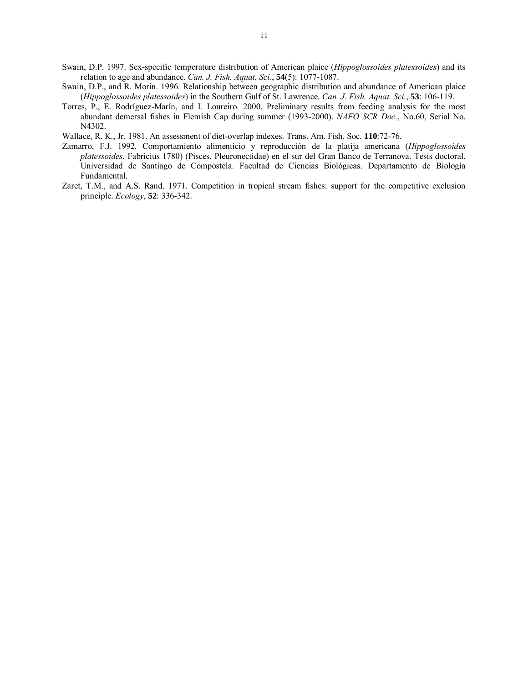- Swain, D.P. 1997. Sex-specific temperature distribution of American plaice (*Hippoglossoides platessoides*) and its relation to age and abundance. *Can. J. Fish. Aquat. Sci.*, **54**(5): 1077-1087.
- Swain, D.P., and R. Morin. 1996. Relationship between geographic distribution and abundance of American plaice (*Hippoglossoides platessoides*) in the Southern Gulf of St. Lawrence. *Can. J. Fish. Aquat. Sci.*, **53**: 106-119.
- Torres, P., E. Rodríguez-Marín, and I. Loureiro. 2000. Preliminary results from feeding analysis for the most abundant demersal fishes in Flemish Cap during summer (1993-2000). *NAFO SCR Doc.*, No.60, Serial No. N4302.
- Wallace, R. K., Jr. 1981. An assessment of diet-overlap indexes. Trans. Am. Fish. Soc. **110**:72-76.
- Zamarro, F.J. 1992. Comportamiento alimenticio y reproducción de la platija americana (*Hippoglossoides platessoides*, Fabricius 1780) (Pisces, Pleuronectidae) en el sur del Gran Banco de Terranova. Tesis doctoral. Universidad de Santiago de Compostela. Facultad de Ciencias Biológicas. Departamento de Biología Fundamental.
- Zaret, T.M., and A.S. Rand. 1971. Competition in tropical stream fishes: support for the competitive exclusion principle. *Ecology*, **52**: 336-342.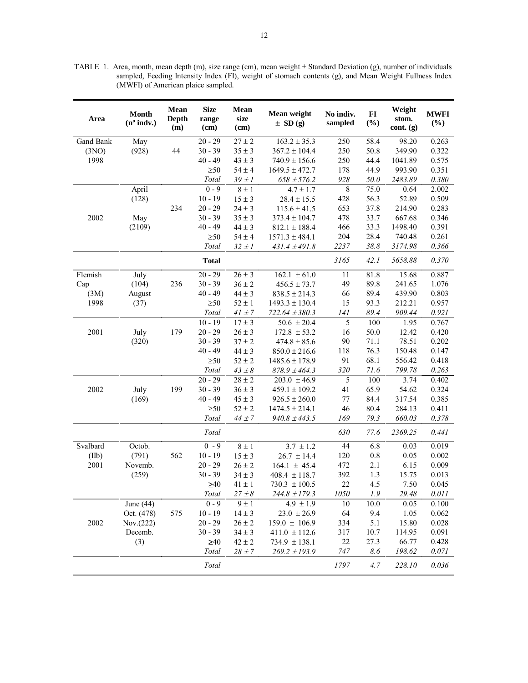TABLE 1. Area, month, mean depth (m), size range (cm), mean weight ± Standard Deviation (g), number of individuals sampled, Feeding Intensity Index (FI), weight of stomach contents (g), and Mean Weight Fullness Index (MWFI) of American plaice sampled.

| Area      | <b>Month</b><br>$(n^{\circ}$ indv.) | <b>Mean</b><br>Depth<br>(m) | <b>Size</b><br>range<br>(cm) | Mean<br>size<br>(cm) | Mean weight<br>$\pm$ SD (g) | No indiv.<br>sampled | $\bf{FI}$<br>(%) | Weight<br>stom.<br>cont. (g) | <b>MWFI</b><br>$(\%)$ |
|-----------|-------------------------------------|-----------------------------|------------------------------|----------------------|-----------------------------|----------------------|------------------|------------------------------|-----------------------|
| Gand Bank | May                                 |                             | $20 - 29$                    | $27 \pm 2$           | $163.2 \pm 35.3$            | 250                  | 58.4             | 98.20                        | 0.263                 |
| (3NO)     | (928)                               | 44                          | $30 - 39$                    | $35 \pm 3$           | $367.2 \pm 104.4$           | 250                  | 50.8             | 349.90                       | 0.322                 |
| 1998      |                                     |                             | $40 - 49$                    | $43 \pm 3$           | $740.9 \pm 156.6$           | 250                  | 44.4             | 1041.89                      | 0.575                 |
|           |                                     |                             | $\geq 50$                    | $54\pm4$             | $1649.5 \pm 472.7$          | 178                  | 44.9             | 993.90                       | 0.351                 |
|           |                                     |                             | Total                        | $39 \pm 1$           | $658 \pm 576.2$             | 928                  | 50.0             | 2483.89                      | 0.380                 |
|           | April                               |                             | $0 - 9$                      | $8 \pm 1$            | $4.7 \pm 1.7$               | $\overline{8}$       | 75.0             | 0.64                         | 2.002                 |
|           | (128)                               |                             | $10 - 19$                    | $15 \pm 3$           | $28.4 \pm 15.5$             | 428                  | 56.3             | 52.89                        | 0.509                 |
|           |                                     | 234                         | $20 - 29$                    | $24 \pm 3$           | $115.6 \pm 41.5$            | 653                  | 37.8             | 214.90                       | 0.283                 |
| 2002      | May                                 |                             | $30 - 39$                    | $35 \pm 3$           | $373.4 \pm 104.7$           | 478                  | 33.7             | 667.68                       | 0.346                 |
|           | (2109)                              |                             | $40 - 49$                    | $44 \pm 3$           | $812.1 \pm 188.4$           | 466                  | 33.3             | 1498.40                      | 0.391                 |
|           |                                     |                             | $\geq 50$                    | $54\pm4$             | $1571.3 \pm 484.1$          | 204                  | 28.4             | 740.48                       | 0.261                 |
|           |                                     |                             | Total                        | $32 \pm 1$           | $431.4 \pm 491.8$           | 2237                 | 38.8             | 3174.98                      | 0.366                 |
|           |                                     |                             | <b>Total</b>                 |                      |                             | 3165                 | 42.1             | 5658.88                      | 0.370                 |
| Flemish   | July                                |                             | $20 - 29$                    | $26 \pm 3$           | $162.1 \pm 61.0$            | 11                   | 81.8             | 15.68                        | 0.887                 |
| Cap       | (104)                               | 236                         | $30 - 39$                    | $36 \pm 2$           | $456.5 \pm 73.7$            | 49                   | 89.8             | 241.65                       | 1.076                 |
| (3M)      | August                              |                             | $40 - 49$                    | $44 \pm 3$           | $838.5 \pm 214.3$           | 66                   | 89.4             | 439.90                       | 0.803                 |
| 1998      | (37)                                |                             | $\geq 50$                    | $52 \pm 1$           | $1493.3 \pm 130.4$          | 15                   | 93.3             | 212.21                       | 0.957                 |
|           |                                     |                             | Total                        | $41\pm7$             | $722.64 \pm 380.3$          | 141                  | 89.4             | 909.44                       | 0.921                 |
|           |                                     |                             | $10 - 19$                    | $17 \pm 3$           | $50.6 \pm 20.4$             | 5                    | 100              | 1.95                         | 0.767                 |
| 2001      | July                                | 179                         | $20 - 29$                    | $26 \pm 3$           | $172.8 \pm 53.2$            | 16                   | 50.0             | 12.42                        | 0.420                 |
|           | (320)                               |                             | $30 - 39$                    | $37 \pm 2$           | $474.8 \pm 85.6$            | 90                   | 71.1             | 78.51                        | 0.202                 |
|           |                                     |                             | $40 - 49$                    | $44 \pm 3$           | $850.0 \pm 216.6$           | 118                  | 76.3             | 150.48                       | 0.147                 |
|           |                                     |                             | $\geq 50$                    | $52\pm2$             | $1485.6 \pm 178.9$          | 91                   | 68.1             | 556.42                       | 0.418                 |
|           |                                     |                             | Total                        | $43 \pm 8$           | $878.9 \pm 464.3$           | 320                  | 71.6             | 799.78                       | 0.263                 |
|           |                                     |                             | $20 - 29$                    | $28 \pm 2$           | $203.0 \pm 46.9$            | 5                    | 100              | 3.74                         | 0.402                 |
| 2002      | July                                | 199                         | $30 - 39$                    | $36 \pm 3$           | $459.1 \pm 109.2$           | 41                   | 65.9             | 54.62                        | 0.324                 |
|           | (169)                               |                             | $40 - 49$                    | $45 \pm 3$           | $926.5 \pm 260.0$           | 77                   | 84.4             | 317.54                       | 0.385                 |
|           |                                     |                             | $\geq 50$                    | $52 \pm 2$           | $1474.5 \pm 214.1$          | 46                   | 80.4             | 284.13                       | 0.411                 |
|           |                                     |                             | Total                        | $44\pm7$             | $940.8 \pm 443.5$           | 169                  | 79.3             | 660.03                       | 0.378                 |
|           |                                     |                             | Total                        |                      |                             | 630                  | 77.6             | 2369.25                      | 0.441                 |
| Svalbard  | Octob.                              |                             | $0 - 9$                      | $8\pm1$              | $3.7 \pm 1.2$               | 44                   | 6.8              | 0.03                         | 0.019                 |
| (IIb)     | (791)                               | 562                         | $10 - 19$                    | $15 \pm 3$           | $26.7 \pm 14.4$             | 120                  | $0.8\,$          | 0.05                         | 0.002                 |
| 2001      | Novemb.                             |                             | $20 - 29$                    | $26 \pm 2$           | $164.1 \pm 45.4$            | 472                  | 2.1              | 6.15                         | 0.009                 |
|           | (259)                               |                             | $30 - 39$                    | $34 \pm 3$           | $408.4 \pm 118.7$           | 392                  | 1.3              | 15.75                        | 0.013                 |
|           |                                     |                             | $\geq 40$                    | $41\pm1$             | $730.3 \pm 100.5$           | 22                   | 4.5              | 7.50                         | 0.045                 |
|           |                                     |                             | Total                        | $27\pm8$             | $244.8 \pm 179.3$           | 1050                 | 1.9              | 29.48                        | 0.011                 |
|           | June $(44)$                         |                             | $0 - 9$                      | $9 \pm 1$            | $4.9 \pm 1.9$               | 10                   | 10.0             | 0.05                         | 0.100                 |
|           | Oct. (478)                          | 575                         | $10 - 19$                    | $14 \pm 3$           | $23.0 \pm 26.9$             | 64                   | 9.4              | 1.05                         | 0.062                 |
| 2002      | Nov.(222)                           |                             | $20 - 29$                    | $26 \pm 2$           | $159.0 \pm 106.9$           | 334                  | 5.1              | 15.80                        | 0.028                 |
|           | Decemb.                             |                             | $30 - 39$                    | $34 \pm 3$           | $411.0 \pm 112.6$           | 317                  | 10.7             | 114.95                       | 0.091                 |
|           | (3)                                 |                             | $\geq 40$                    | $42\pm2$             | $734.9 \pm 138.1$           | 22                   | 27.3             | 66.77                        | 0.428                 |
|           |                                     |                             | <b>Total</b>                 | $28 \pm 7$           | $269.2 \pm 193.9$           | 747                  | 8.6              | 198.62                       | 0.071                 |
|           |                                     |                             | Total                        |                      |                             | 1797                 | 4.7              | 228.10                       | 0.036                 |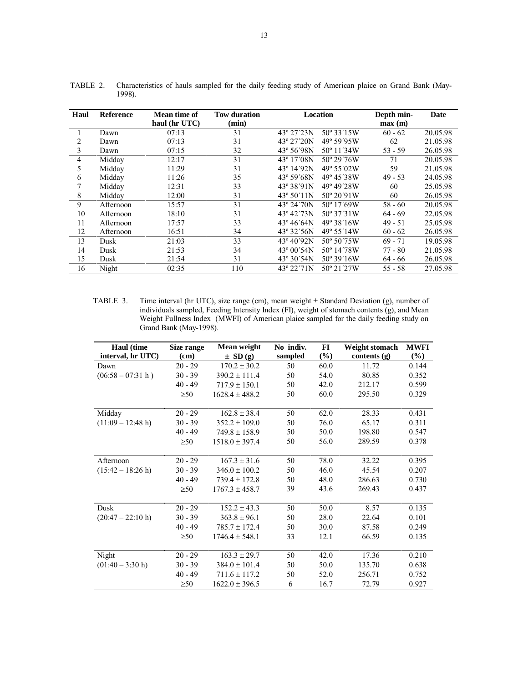| TABLE 2. Characteristics of hauls sampled for the daily feeding study of American plaice on Grand Bank (May-<br>$\sim$ $\sim$ $\sim$ |
|--------------------------------------------------------------------------------------------------------------------------------------|

| Haul | <b>Reference</b> | Mean time of  | <b>Tow duration</b> |                      | Location             | Depth min- | Date     |
|------|------------------|---------------|---------------------|----------------------|----------------------|------------|----------|
|      |                  | haul (hr UTC) | (min)               |                      |                      | max(m)     |          |
|      | Dawn             | 07:13         | 31                  | 43° 27'23N           | 50° 33'15W           | $60 - 62$  | 20.05.98 |
| 2    | Dawn             | 07:13         | 31                  | 43° 27'20N           | 49° 59'95W           | 62         | 21.05.98 |
| 3    | Dawn             | 07:15         | 32                  | 43° 56'98N           | 50° 11'34W           | $53 - 59$  | 26.05.98 |
| 4    | Midday           | 12:17         | 31                  | 43° 17'08N           | 50° 29'76W           | 71         | 20.05.98 |
| 5    | Midday           | 11:29         | 31                  | 43° 14'92N           | 49° 55'02W           | 59         | 21.05.98 |
| 6    | Midday           | 11:26         | 35                  | 43° 59'68N           | 49° 45'38W           | $49 - 53$  | 24.05.98 |
|      | Midday           | 12:31         | 33                  | 43° 38'91N           | 49° 49' 28 W         | 60         | 25.05.98 |
| 8    | Midday           | 12:00         | 31                  | $43^{\circ}50'11N$   | $50^{\circ} 20'91W$  | 60         | 26.05.98 |
| 9    | Afternoon        | 15:57         | 31                  | 43° 24'70N           | 50° 17'69W           | $58 - 60$  | 20.05.98 |
| 10   | Afternoon        | 18:10         | 31                  | 43° 42'73N           | 50° 37'31W           | $64 - 69$  | 22.05.98 |
| 11   | Afternoon        | 17:57         | 33                  | $43^{\circ} 46' 64N$ | 49° 38'16W           | $49 - 51$  | 25.05.98 |
| 12   | Afternoon        | 16:51         | 34                  | 43° 32'56N           | 49° 55'14W           | $60 - 62$  | 26.05.98 |
| 13   | Dusk             | 21:03         | 33                  | 43° 40'92N           | 50° 50′75W           | $69 - 71$  | 19.05.98 |
| 14   | Dusk             | 21:53         | 34                  | $43^{\circ}$ 00'54N  | 50° 14'78W           | $77 - 80$  | 21.05.98 |
| 15   | Dusk             | 21:54         | 31                  | 43° 30'54N           | $50^{\circ} 39' 16W$ | $64 - 66$  | 26.05.98 |
| 16   | Night            | 02:35         | 110                 | 43° 22'71N           | 50° 21'27W           | $55 - 58$  | 27.05.98 |

TABLE 3. Time interval (hr UTC), size range (cm), mean weight ± Standard Deviation (g), number of individuals sampled, Feeding Intensity Index (FI), weight of stomach contents (g), and Mean Weight Fullness Index (MWFI) of American plaice sampled for the daily feeding study on Grand Bank (May-1998).

| Haul (time                  | Size range | Mean weight        | No indiv. | FI     | Weight stomach | <b>MWFI</b> |
|-----------------------------|------------|--------------------|-----------|--------|----------------|-------------|
| interval, hr UTC)           | (cm)       | $\pm$ SD (g)       | sampled   | $(\%)$ | contents $(g)$ | $(\%)$      |
| Dawn                        | $20 - 29$  | $170.2 \pm 30.2$   | 50        | 60.0   | 11.72          | 0.144       |
| $(06:58 - 07:31 h)$         | $30 - 39$  | $390.2 \pm 111.4$  | 50        | 54.0   | 80.85          | 0.352       |
|                             | $40 - 49$  | $717.9 \pm 150.1$  | 50        | 42.0   | 212.17         | 0.599       |
|                             | $\geq 50$  | $1628.4 \pm 488.2$ | 50        | 60.0   | 295.50         | 0.329       |
| Midday                      | $20 - 29$  | $162.8 \pm 38.4$   | 50        | 62.0   | 28.33          | 0.431       |
| $(11:09 - 12:48 h)$         | $30 - 39$  | $352.2 \pm 109.0$  | 50        | 76.0   | 65.17          | 0.311       |
|                             | $40 - 49$  | $749.8 \pm 158.9$  | 50        | 50.0   | 198.80         | 0.547       |
|                             | $\geq 50$  | $1518.0 \pm 397.4$ | 50        | 56.0   | 289.59         | 0.378       |
| Afternoon                   | $20 - 29$  | $167.3 \pm 31.6$   | 50        | 78.0   | 32.22          | 0.395       |
| $(15:42 - 18:26 h)$         | $30 - 39$  | $346.0 \pm 100.2$  | 50        | 46.0   | 45.54          | 0.207       |
|                             | $40 - 49$  | $739.4 \pm 172.8$  | 50        | 48.0   | 286.63         | 0.730       |
|                             | $\geq 50$  | $1767.3 \pm 458.7$ | 39        | 43.6   | 269.43         | 0.437       |
| Dusk                        | $20 - 29$  | $152.2 \pm 43.3$   | 50        | 50.0   | 8.57           | 0.135       |
| $(20:47 - 22:10 \text{ h})$ | $30 - 39$  | $363.8 \pm 96.1$   | 50        | 28.0   | 22.64          | 0.101       |
|                             | $40 - 49$  | $785.7 \pm 172.4$  | 50        | 30.0   | 87.58          | 0.249       |
|                             | $\geq 50$  | $1746.4 \pm 548.1$ | 33        | 12.1   | 66.59          | 0.135       |
| Night                       | $20 - 29$  | $163.3 \pm 29.7$   | 50        | 42.0   | 17.36          | 0.210       |
| $(01:40 - 3:30 h)$          | $30 - 39$  | $384.0 \pm 101.4$  | 50        | 50.0   | 135.70         | 0.638       |
|                             | $40 - 49$  | $711.6 \pm 117.2$  | 50        | 52.0   | 256.71         | 0.752       |
|                             | $\geq 50$  | $1622.0 \pm 396.5$ | 6         | 16.7   | 72.79          | 0.927       |

1998).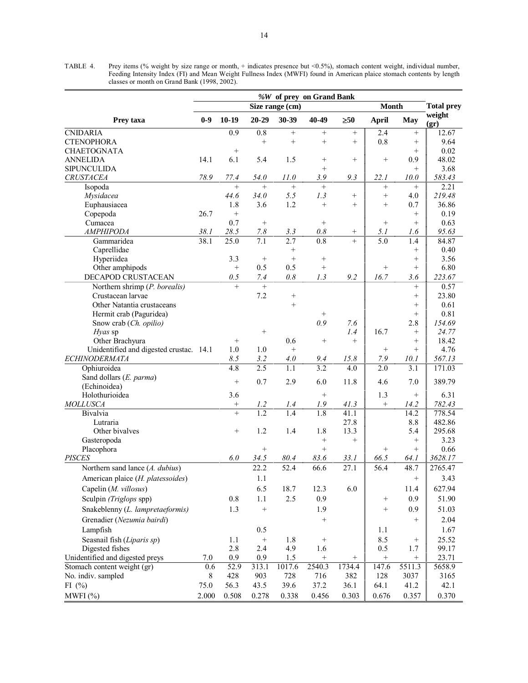TABLE 4. Prey items (% weight by size range or month, + indicates presence but <0.5%), stomach content weight, individual number, Feeding Intensity Index (FI) and Mean Weight Fullness Index (MWFI) found in American plaice stomach contents by length classes or month on Grand Bank (1998, 2002).

| %W of prey on Grand Bank                |         |                   |                  |                 |                  |           |                  |                 |                   |
|-----------------------------------------|---------|-------------------|------------------|-----------------|------------------|-----------|------------------|-----------------|-------------------|
|                                         |         |                   |                  | Size range (cm) |                  |           | <b>Month</b>     |                 | <b>Total prey</b> |
| Prey taxa                               | $0-9$   | $10-19$           | $20 - 29$        | 30-39           | 40-49            | $\geq 50$ | <b>April</b>     | <b>May</b>      | weight<br>(gr)    |
| <b>CNIDARIA</b>                         |         | $\overline{0.9}$  | 0.8              | $^{+}$          | $^{+}$           | $^{+}$    | 2.4              | $^{+}$          | 12.67             |
| <b>CTENOPHORA</b>                       |         |                   | $+$              | $^{+}$          | $\ddot{}$        | $\! +$    | 0.8              | $^{+}$          | 9.64              |
| <b>CHAETOGNATA</b>                      |         | $+$               |                  |                 |                  |           |                  | $^{+}$          | 0.02              |
| <b>ANNELIDA</b>                         | 14.1    | 6.1               | 5.4              | 1.5             | $\! + \!\!\!\!$  | $^{+}$    | $\! + \!\!\!\!$  | 0.9             | 48.02             |
| <b>SIPUNCULIDA</b>                      |         |                   |                  |                 | $^{+}$           |           |                  | $^{+}$          | 3.68              |
| <b>CRUSTACEA</b>                        | 78.9    | 77.4              | 54.0             | 11.0            | 3.9              | 9.3       | 22.1             | 10.0            | 583.43            |
| Isopoda                                 |         | $+$               |                  | $^{+}$          | $+$              |           | $^{+}$           | $+$             | 2.21              |
| Mysidacea                               |         | 44.6              | 34.0             | 5.5             | 1.3              | $^{+}$    | $+$              | 4.0             | 219.48            |
| Euphausiacea                            |         | 1.8               | 3.6              | 1.2             | $+$              | $^{+}$    | $^{+}$           | 0.7             | 36.86             |
| Copepoda                                | 26.7    | $\! +$            |                  |                 |                  |           |                  | $+$             | 0.19              |
| Cumacea                                 |         | 0.7               |                  |                 | $^{+}$           |           | $\! + \!\!\!\!$  | $+$             | 0.63              |
| <b>AMPHIPODA</b>                        | 38.1    | 28.5              | 7.8              | 3.3             | $0.8\,$          | $^{+}$    | 5.1              | 1.6             | 95.63             |
| Gammaridea                              | 38.1    | 25.0              | 7.1              | 2.7             | $\overline{0.8}$ | $\ddot{}$ | $\overline{5.0}$ | 1.4             | 84.87             |
| Caprellidae                             |         |                   |                  | $+$             |                  |           |                  | $^{+}$          | 0.40              |
| Hyperiidea                              |         | 3.3               | $\! + \!\!\!\!$  | $^{+}$          | $^{+}$           |           |                  | $^{+}$          | 3.56              |
| Other amphipods                         |         | $\qquad \qquad +$ | 0.5              | 0.5             | $^{+}$           |           | $+$              | $+$             | 6.80              |
| DECAPOD CRUSTACEAN                      |         | 0.5               | 7.4              | 0.8             | 1.3              | 9.2       | 16.7             | 3.6             | 223.67            |
| Northern shrimp (P. borealis)           |         | $+$               | $+$              |                 |                  |           |                  | $^{+}$          | 0.57              |
| Crustacean larvae                       |         |                   | 7.2              | $^{+}$          |                  |           |                  | $^{+}$          | 23.80             |
| Other Natantia crustaceans              |         |                   |                  | $\ddot{}$       |                  |           |                  | $^{+}$          | 0.61              |
| Hermit crab (Paguridea)                 |         |                   |                  |                 | $^{+}$           |           |                  | $^{+}$          | 0.81              |
| Snow crab (Ch. opilio)                  |         |                   |                  |                 | 0.9              | 7.6       |                  | 2.8             | 154.69            |
| Hyas sp                                 |         |                   |                  |                 |                  | 1.4       | 16.7             | $+$             | 24.77             |
| Other Brachyura                         |         | $+$               |                  | 0.6             | $^{+}$           | $^{+}$    |                  | $^{+}$          | 18.42             |
| Unidentified and digested crustac. 14.1 |         | 1.0               | 1.0              | $^{+}$          |                  |           | $^{+}$           | $^{+}$          | 4.76              |
| <b>ECHINODERMATA</b>                    |         | 8.5               | 3.2              | 4.0             | 9.4              | 15.8      | 7.9              | 10.1            | 567.13            |
| Ophiuroidea                             |         | 4.8               | 2.5              | 1.1             | 3.2              | 4.0       | 2.0              | 3.1             | 171.03            |
| Sand dollars (E. parma)                 |         | $^{+}$            | 0.7              | 2.9             | 6.0              | 11.8      | 4.6              | 7.0             | 389.79            |
| (Echinoidea)                            |         |                   |                  |                 |                  |           |                  |                 |                   |
| Holothurioidea                          |         | 3.6               |                  |                 | $\! + \!\!\!\!$  |           | 1.3              | $\! + \!\!\!\!$ | 6.31              |
| <b>MOLLUSCA</b>                         |         | $^+$              | 1.2              | 1.4             | 1.9              | 41.3      | $\! + \!\!\!\!$  | 14.2            | 782.43            |
| Bivalvia                                |         | $\overline{+}$    | $\overline{1.2}$ | 1.4             | 1.8              | 41.1      |                  | 14.2            | 778.54            |
| Lutraria                                |         |                   |                  |                 |                  | 27.8      |                  | 8.8             | 482.86            |
| Other bivalves                          |         | $^{+}$            | 1.2              | 1.4             | 1.8              | 13.3      |                  | 5.4             | 295.68            |
| Gasteropoda                             |         |                   |                  |                 | $\! + \!\!\!\!$  | $^{+}$    |                  | $^{+}$          | 3.23              |
| Placophora                              |         |                   | $^{+}$           |                 | $^{+}$           |           | $^{+}$           | $+$             | 0.66              |
| <b>PISCES</b>                           |         | 6.0               | 34.5             | 80.4            | 83.6             | 33.1      | 66.5             | 64.1            | 3628.17           |
| Northern sand lance (A. dubius)         |         |                   | 22.2             | 52.4            | 66.6             | 27.1      | 56.4             | 48.7            | 2765.47           |
| American plaice (H. platessoides)       |         |                   | 1.1              |                 |                  |           |                  | $+$             | 3.43              |
| Capelin (M. villosus)                   |         |                   | 6.5              | 18.7            | 12.3             | 6.0       |                  | 11.4            | 627.94            |
| Sculpin (Triglops spp)                  |         | $0.8\,$           | 1.1              | 2.5             | 0.9              |           | $\! + \!\!\!\!$  | 0.9             | 51.90             |
| Snakeblenny (L. lampretaeformis)        |         | 1.3               |                  |                 | 1.9              |           |                  | 0.9             | 51.03             |
|                                         |         |                   |                  |                 |                  |           |                  |                 |                   |
| Grenadier (Nezumia bairdi)              |         |                   |                  |                 | $\! + \!\!\!\!$  |           |                  | $^{+}$          | 2.04              |
| Lampfish                                |         |                   | 0.5              |                 |                  |           | 1.1              |                 | 1.67              |
| Seasnail fish (Liparis sp)              |         | 1.1               |                  | 1.8             | $^{+}$           |           | 8.5              |                 | 25.52             |
| Digested fishes                         |         | 2.8               | 2.4              | 4.9             | 1.6              |           | 0.5              | 1.7             | 99.17             |
| Unidentified and digested preys         | $7.0\,$ | 0.9               | 0.9              | 1.5             | $\! + \!\!\!\!$  |           | $\! + \!\!\!\!$  | $^{+}$          | 23.71             |
| Stomach content weight (gr)             | 0.6     | 52.9              | 313.1            | 1017.6          | 2540.3           | 1734.4    | 147.6            | 5511.3          | 5658.9            |
| No. indiv. sampled                      | $\,8\,$ | 428               | 903              | 728             | 716              | 382       | 128              | 3037            | 3165              |
| FI $(\% )$                              | 75.0    | 56.3              | 43.5             | 39.6            | 37.2             | 36.1      | 64.1             | 41.2            | 42.1              |
| MWFI(%)                                 | 2.000   | 0.508             | 0.278            | 0.338           | 0.456            | 0.303     | 0.676            | 0.357           | 0.370             |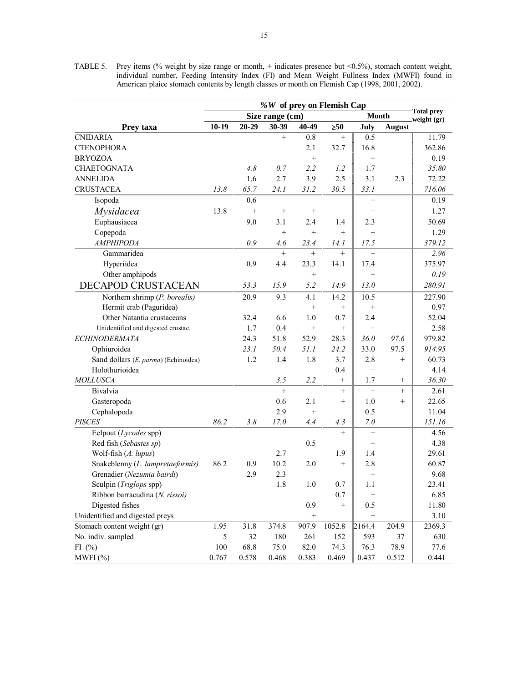TABLE 5. Prey items (% weight by size range or month, + indicates presence but <0.5%), stomach content weight, individual number, Feeding Intensity Index (FI) and Mean Weight Fullness Index (MWFI) found in American plaice stomach contents by length classes or month on Flemish Cap (1998, 2001, 2002).

|                                      | %W of prey on Flemish Cap |           |                 |           |                   |                   |               |                                  |  |  |
|--------------------------------------|---------------------------|-----------|-----------------|-----------|-------------------|-------------------|---------------|----------------------------------|--|--|
|                                      |                           |           | Size range (cm) |           |                   | <b>Month</b>      |               | <b>Total prey</b><br>weight (gr) |  |  |
| Prey taxa                            | $10-19$                   | $20 - 29$ | 30-39           | 40-49     | $\geq 50$         | July              | <b>August</b> |                                  |  |  |
| <b>CNIDARIA</b>                      |                           |           | $^{+}$          | 0.8       | $^{+}$            | 0.5               |               | 11.79                            |  |  |
| <b>CTENOPHORA</b>                    |                           |           |                 | 2.1       | 32.7              | 16.8              |               | 362.86                           |  |  |
| <b>BRYOZOA</b>                       |                           |           |                 | $^{+}$    |                   | $^{+}$            |               | 0.19                             |  |  |
| <b>CHAETOGNATA</b>                   |                           | 4.8       | 0.7             | 2.2       | 1.2               | 1.7               |               | 35.80                            |  |  |
| <b>ANNELIDA</b>                      |                           | 1.6       | 2.7             | 3.9       | 2.5               | 3.1               | 2.3           | 72.22                            |  |  |
| <b>CRUSTACEA</b>                     | 13.8                      | 65.7      | 24.1            | 31.2      | 30.5              | 33.1              |               | 716.06                           |  |  |
| Isopoda                              |                           | 0.6       |                 |           |                   | $^{+}$            |               | 0.19                             |  |  |
| Mysidacea                            | 13.8                      |           | $^{+}$          | $^{+}$    |                   | $^{+}$            |               | 1.27                             |  |  |
| Euphausiacea                         |                           | 9.0       | 3.1             | 2.4       | 1.4               | 2.3               |               | 50.69                            |  |  |
| Copepoda                             |                           |           | $^{+}$          | $^{+}$    | $^{+}$            | $^{+}$            |               | 1.29                             |  |  |
| <b>AMPHIPODA</b>                     |                           | 0.9       | 4.6             | 23.4      | 14.1              | 17.5              |               | 379.12                           |  |  |
| Gammaridea                           |                           |           | $+$             | $^{+}$    | $+$               | $^{+}$            |               | 2.96                             |  |  |
| Hyperiidea                           |                           | 0.9       | 4.4             | 23.3      | 14.1              | 17.4              |               | 375.97                           |  |  |
| Other amphipods                      |                           |           |                 | $\ddot{}$ |                   | $^{+}$            |               | 0.19                             |  |  |
| DECAPOD CRUSTACEAN                   |                           | 53.3      | 15.9            | 5.2       | 14.9              | 13.0              |               | 280.91                           |  |  |
| Northern shrimp (P. borealis)        |                           | 20.9      | 9.3             | 4.1       | 14.2              | 10.5              |               | 227.90                           |  |  |
| Hermit crab (Paguridea)              |                           |           |                 | $\ddot{}$ | $^{+}$            | $\! +$            |               | 0.97                             |  |  |
| Other Natantia crustaceans           |                           | 32.4      | 6.6             | 1.0       | 0.7               | 2.4               |               | 52.04                            |  |  |
| Unidentified and digested crustac.   |                           | 1.7       | 0.4             | $\ddot{}$ | $^{+}$            | $^{+}$            |               | 2.58                             |  |  |
| <b>ECHINODERMATA</b>                 |                           | 24.3      | 51.8            | 52.9      | 28.3              | 36.0              | 97.6          | 979.82                           |  |  |
| Ophiuroidea                          |                           | 23.1      | 50.4            | 51.1      | 24.2              | 33.0              | 97.5          | 914.95                           |  |  |
| Sand dollars (E. parma) (Echinoidea) |                           | 1.2       | 1.4             | 1.8       | 3.7               | 2.8               | $+$           | 60.73                            |  |  |
| Holothurioidea                       |                           |           |                 |           | 0.4               | $\! +$            |               | 4.14                             |  |  |
| <b>MOLLUSCA</b>                      |                           |           | 3.5             | 2.2       | $\! + \!\!\!\!$   | 1.7               | $^{+}$        | 36.30                            |  |  |
| Bivalvia                             |                           |           | $^{+}$          |           | $\qquad \qquad +$ | $^{+}$            | $^{+}$        | 2.61                             |  |  |
| Gasteropoda                          |                           |           | 0.6             | 2.1       | $+$               | 1.0               | $^{+}$        | 22.65                            |  |  |
| Cephalopoda                          |                           |           | 2.9             | $^{+}$    |                   | 0.5               |               | 11.04                            |  |  |
| <b>PISCES</b>                        | 86.2                      | 3.8       | 17.0            | 4.4       | 4.3               | $7.0\,$           |               | 151.16                           |  |  |
| Eelpout (Lycodes spp)                |                           |           |                 |           | $^{+}$            | $\qquad \qquad +$ |               | 4.56                             |  |  |
| Red fish (Sebastes sp)               |                           |           |                 | 0.5       |                   | $\! + \!\!\!\!$   |               | 4.38                             |  |  |
| Wolf-fish (A. lupus)                 |                           |           | 2.7             |           | 1.9               | 1.4               |               | 29.61                            |  |  |
| Snakeblenny (L. lampretaeformis)     | 86.2                      | 0.9       | 10.2            | 2.0       | $^{+}$            | 2.8               |               | 60.87                            |  |  |
| Grenadier (Nezumia bairdi)           |                           | 2.9       | 2.3             |           |                   | $^{+}$            |               | 9.68                             |  |  |
| Sculpin (Triglops spp)               |                           |           | 1.8             | 1.0       | $0.7 \parallel$   | 1.1               |               | 23.41                            |  |  |
| Ribbon barracudina (N. rissoi)       |                           |           |                 |           | 0.7               | $^{+}$            |               | 6.85                             |  |  |
| Digested fishes                      |                           |           |                 | 0.9       | $^{+}$            | 0.5               |               | 11.80                            |  |  |
| Unidentified and digested preys      |                           |           |                 |           |                   |                   |               | 3.10                             |  |  |
| Stomach content weight (gr)          | 1.95                      | 31.8      | 374.8           | 907.9     | 1052.8            | 2164.4            | 204.9         | 2369.3                           |  |  |
| No. indiv. sampled                   | 5                         | 32        | 180             | 261       | 152               | 593               | 37            | 630                              |  |  |
| FI $(\%)$                            | 100                       | 68.8      | 75.0            | 82.0      | 74.3              | 76.3              | 78.9          | 77.6                             |  |  |
| MWFI(%)                              | 0.767                     | 0.578     | 0.468           | 0.383     | 0.469             | 0.437             | 0.512         | 0.441                            |  |  |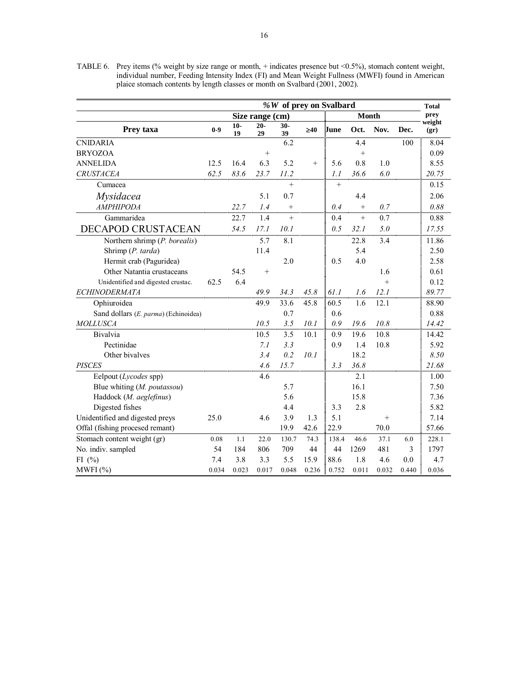TABLE 6. Prey items (% weight by size range or month, + indicates presence but <0.5%), stomach content weight, individual number, Feeding Intensity Index (FI) and Mean Weight Fullness (MWFI) found in American plaice stomach contents by length classes or month on Svalbard (2001, 2002).

|                                      |       |             |                 |              | %W of prey on Svalbard |        |              |       |       | <b>Total</b>   |
|--------------------------------------|-------|-------------|-----------------|--------------|------------------------|--------|--------------|-------|-------|----------------|
|                                      |       |             | Size range (cm) |              |                        |        | <b>Month</b> |       |       | prey           |
| Prey taxa                            | $0-9$ | $10-$<br>19 | $20-$<br>29     | $30 -$<br>39 | $\geq 40$              | June   | Oct.         | Nov.  | Dec.  | weight<br>(qr) |
| <b>CNIDARIA</b>                      |       |             |                 | 6.2          |                        |        | 4.4          |       | 100   | 8.04           |
| <b>BRYOZOA</b>                       |       |             | $\ddot{}$       |              |                        |        | $\ddot{}$    |       |       | 0.09           |
| <b>ANNELIDA</b>                      | 12.5  | 16.4        | 6.3             | 5.2          | $^{+}$                 | 5.6    | 0.8          | 1.0   |       | 8.55           |
| <b>CRUSTACEA</b>                     | 62.5  | 83.6        | 23.7            | 11.2         |                        | 1.1    | 36.6         | 6.0   |       | 20.75          |
| Cumacea                              |       |             |                 | $\ddot{}$    |                        | $^{+}$ |              |       |       | 0.15           |
| Mysidacea                            |       |             | 5.1             | 0.7          |                        |        | 4.4          |       |       | 2.06           |
| <b>AMPHIPODA</b>                     |       | 22.7        | 1.4             | $\! +$       |                        | 0.4    | $+$          | 0.7   |       | 0.88           |
| Gammaridea                           |       | 22.7        | 1.4             | $\ddot{}$    |                        | 0.4    | $+$          | 0.7   |       | 0.88           |
| <b>DECAPOD CRUSTACEAN</b>            |       | 54.5        | 17.1            | 10.1         |                        | 0.5    | 32.1         | 5.0   |       | 17.55          |
| Northern shrimp (P. borealis)        |       |             | 5.7             | 8.1          |                        |        | 22.8         | 3.4   |       | 11.86          |
| Shrimp (P. tarda)                    |       |             | 11.4            |              |                        |        | 5.4          |       |       | 2.50           |
| Hermit crab (Paguridea)              |       |             |                 | 2.0          |                        | 0.5    | 4.0          |       |       | 2.58           |
| Other Natantia crustaceans           |       | 54.5        |                 |              |                        |        |              | 1.6   |       | 0.61           |
| Unidentified and digested crustac.   | 62.5  | 6.4         |                 |              |                        |        |              | $+$   |       | 0.12           |
| <b>ECHINODERMATA</b>                 |       |             | 49.9            | 34.3         | 45.8                   | 61.1   | 1.6          | 12.1  |       | 89.77          |
| Ophiuroidea                          |       |             | 49.9            | 33.6         | 45.8                   | 60.5   | 1.6          | 12.1  |       | 88.90          |
| Sand dollars (E. parma) (Echinoidea) |       |             |                 | 0.7          |                        | 0.6    |              |       |       | 0.88           |
| <b>MOLLUSCA</b>                      |       |             | 10.5            | 3.5          | 10.1                   | 0.9    | 19.6         | 10.8  |       | 14.42          |
| Bivalvia                             |       |             | 10.5            | 3.5          | 10.1                   | 0.9    | 19.6         | 10.8  |       | 14.42          |
| Pectinidae                           |       |             | 7.1             | 3.3          |                        | 0.9    | 1.4          | 10.8  |       | 5.92           |
| Other bivalves                       |       |             | 3.4             | 0.2          | 10.1                   |        | 18.2         |       |       | 8.50           |
| <b>PISCES</b>                        |       |             | 4.6             | 15.7         |                        | 3.3    | 36.8         |       |       | 21.68          |
| Eelpout (Lycodes spp)                |       |             | 4.6             |              |                        |        | 2.1          |       |       | 1.00           |
| Blue whiting (M. poutassou)          |       |             |                 | 5.7          |                        |        | 16.1         |       |       | 7.50           |
| Haddock (M. aeglefinus)              |       |             |                 | 5.6          |                        |        | 15.8         |       |       | 7.36           |
| Digested fishes                      |       |             |                 | 4.4          |                        | 3.3    | 2.8          |       |       | 5.82           |
| Unidentified and digested preys      | 25.0  |             | 4.6             | 3.9          | 1.3                    | 5.1    |              | $+$   |       | 7.14           |
| Offal (fishing procesed remant)      |       |             |                 | 19.9         | 42.6                   | 22.9   |              | 70.0  |       | 57.66          |
| Stomach content weight (gr)          | 0.08  | 1.1         | 22.0            | 130.7        | 74.3                   | 138.4  | 46.6         | 37.1  | 6.0   | 228.1          |
| No. indiv. sampled                   | 54    | 184         | 806             | 709          | 44                     | 44     | 1269         | 481   | 3     | 1797           |
| FI $(%)$                             | 7.4   | 3.8         | 3.3             | 5.5          | 15.9                   | 88.6   | 1.8          | 4.6   | 0.0   | 4.7            |
| MWFI(%)                              | 0.034 | 0.023       | 0.017           | 0.048        | 0.236                  | 0.752  | 0.011        | 0.032 | 0.440 | 0.036          |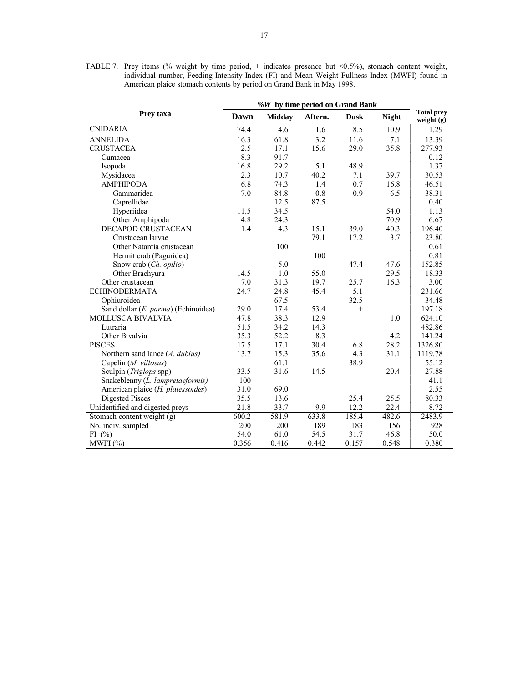|                                     |       | %W by time period on Grand Bank |         |             |              |                                   |
|-------------------------------------|-------|---------------------------------|---------|-------------|--------------|-----------------------------------|
| Prey taxa                           | Dawn  | <b>Midday</b>                   | Aftern. | <b>Dusk</b> | <b>Night</b> | <b>Total prey</b><br>weight $(g)$ |
| <b>CNIDARIA</b>                     | 74.4  | 4.6                             | 1.6     | 8.5         | 10.9         | 1.29                              |
| <b>ANNELIDA</b>                     | 16.3  | 61.8                            | 3.2     | 11.6        | 7.1          | 13.39                             |
| <b>CRUSTACEA</b>                    | 2.5   | 17.1                            | 15.6    | 29.0        | 35.8         | 277.93                            |
| Cumacea                             | 8.3   | 91.7                            |         |             |              | 0.12                              |
| Isopoda                             | 16.8  | 29.2                            | 5.1     | 48.9        |              | 1.37                              |
| Mysidacea                           | 2.3   | 10.7                            | 40.2    | 7.1         | 39.7         | 30.53                             |
| <b>AMPHIPODA</b>                    | 6.8   | 74.3                            | 1.4     | 0.7         | 16.8         | 46.51                             |
| Gammaridea                          | 7.0   | 84.8                            | 0.8     | 0.9         | 6.5          | 38.31                             |
| Caprellidae                         |       | 12.5                            | 87.5    |             |              | 0.40                              |
| Hyperiidea                          | 11.5  | 34.5                            |         |             | 54.0         | 1.13                              |
| Other Amphipoda                     | 4.8   | 24.3                            |         |             | 70.9         | 6.67                              |
| <b>DECAPOD CRUSTACEAN</b>           | 1.4   | 4.3                             | 15.1    | 39.0        | 40.3         | 196.40                            |
| Crustacean larvae                   |       |                                 | 79.1    | 17.2        | 3.7          | 23.80                             |
| Other Natantia crustacean           |       | 100                             |         |             |              | 0.61                              |
| Hermit crab (Paguridea)             |       |                                 | 100     |             |              | 0.81                              |
| Snow crab (Ch. opilio)              |       | 5.0                             |         | 47.4        | 47.6         | 152.85                            |
| Other Brachyura                     | 14.5  | 1.0                             | 55.0    |             | 29.5         | 18.33                             |
| Other crustacean                    | 7.0   | 31.3                            | 19.7    | 25.7        | 16.3         | 3.00                              |
| <b>ECHINODERMATA</b>                | 24.7  | 24.8                            | 45.4    | 5.1         |              | 231.66                            |
| Ophiuroidea                         |       | 67.5                            |         | 32.5        |              | 34.48                             |
| Sand dollar (E. parma) (Echinoidea) | 29.0  | 17.4                            | 53.4    | $+$         |              | 197.18                            |
| <b>MOLLUSCA BIVALVIA</b>            | 47.8  | 38.3                            | 12.9    |             | 1.0          | 624.10                            |
| Lutraria                            | 51.5  | 34.2                            | 14.3    |             |              | 482.86                            |
| Other Bivalvia                      | 35.3  | 52.2                            | 8.3     |             | 4.2          | 141.24                            |
| <b>PISCES</b>                       | 17.5  | 17.1                            | 30.4    | 6.8         | 28.2         | 1326.80                           |
| Northern sand lance (A. dubius)     | 13.7  | 15.3                            | 35.6    | 4.3         | 31.1         | 1119.78                           |
| Capelin (M. villosus)               |       | 61.1                            |         | 38.9        |              | 55.12                             |
| Sculpin (Triglops spp)              | 33.5  | 31.6                            | 14.5    |             | 20.4         | 27.88                             |
| Snakeblenny (L. lampretaeformis)    | 100   |                                 |         |             |              | 41.1                              |
| American plaice (H. platessoides)   | 31.0  | 69.0                            |         |             |              | 2.55                              |
| <b>Digested Pisces</b>              | 35.5  | 13.6                            |         | 25.4        | 25.5         | 80.33                             |
| Unidentified and digested preys     | 21.8  | 33.7                            | 9.9     | 12.2        | 22.4         | 8.72                              |
| Stomach content weight (g)          | 600.2 | 581.9                           | 633.8   | 185.4       | 482.6        | 2483.9                            |
| No. indiv. sampled                  | 200   | 200                             | 189     | 183         | 156          | 928                               |
| FI $(\% )$                          | 54.0  | 61.0                            | 54.5    | 31.7        | 46.8         | 50.0                              |
| MWFI(%)                             | 0.356 | 0.416                           | 0.442   | 0.157       | 0.548        | 0.380                             |

TABLE 7. Prey items (% weight by time period, + indicates presence but <0.5%), stomach content weight, individual number, Feeding Intensity Index (FI) and Mean Weight Fullness Index (MWFI) found in American plaice stomach contents by period on Grand Bank in May 1998.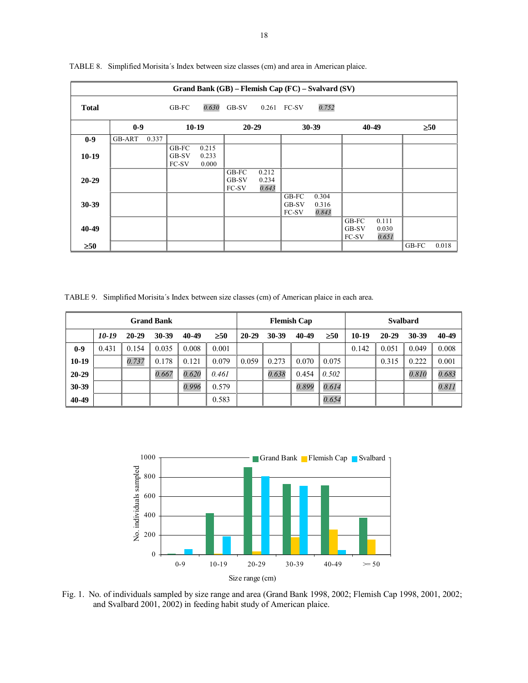|              |        |       |                         |                         |                                |                         |                         | Grand Bank (GB) - Flemish Cap (FC) - Svalvard (SV) |                         |                         |           |       |
|--------------|--------|-------|-------------------------|-------------------------|--------------------------------|-------------------------|-------------------------|----------------------------------------------------|-------------------------|-------------------------|-----------|-------|
| <b>Total</b> |        |       | GB-FC                   | 0.630                   | GB-SV                          |                         | 0.261 FC-SV             | 0.752                                              |                         |                         |           |       |
|              | $0-9$  |       |                         | $10-19$                 | $20 - 29$                      |                         |                         | $30 - 39$                                          |                         | 40-49                   | $\geq 50$ |       |
| $0-9$        | GB-ART | 0.337 |                         |                         |                                |                         |                         |                                                    |                         |                         |           |       |
| $10-19$      |        |       | GB-FC<br>GB-SV<br>FC-SV | 0.215<br>0.233<br>0.000 |                                |                         |                         |                                                    |                         |                         |           |       |
| $20 - 29$    |        |       |                         |                         | GB-FC<br>GB-SV<br><b>FC-SV</b> | 0.212<br>0.234<br>0.643 |                         |                                                    |                         |                         |           |       |
| 30-39        |        |       |                         |                         |                                |                         | GB-FC<br>GB-SV<br>FC-SV | 0.304<br>0.316<br>0.843                            |                         |                         |           |       |
| 40-49        |        |       |                         |                         |                                |                         |                         |                                                    | GB-FC<br>GB-SV<br>FC-SV | 0.111<br>0.030<br>0.651 |           |       |
| $\geq 50$    |        |       |                         |                         |                                |                         |                         |                                                    |                         |                         | GB-FC     | 0.018 |

TABLE 8. Simplified Morisita's Index between size classes (cm) and area in American plaice.

TABLE 9. Simplified Morisita's Index between size classes (cm) of American plaice in each area.

| <b>Grand Bank</b> |       |           |           |       | <b>Flemish Cap</b> |           |       |       | <b>Svalbard</b> |       |       |       |       |
|-------------------|-------|-----------|-----------|-------|--------------------|-----------|-------|-------|-----------------|-------|-------|-------|-------|
|                   | 10-19 | $20 - 29$ | $30 - 39$ | 40-49 | $\geq 50$          | $20 - 29$ | 30-39 | 40-49 | $\geq 50$       | 10-19 | 20-29 | 30-39 | 40-49 |
| $0-9$             | 0.431 | 0.154     | 0.035     | 0.008 | 0.001              |           |       |       |                 | 0.142 | 0.051 | 0.049 | 0.008 |
| $10-19$           |       | 0.737     | 0.178     | 0.121 | 0.079              | 0.059     | 0.273 | 0.070 | 0.075           |       | 0.315 | 0.222 | 0.001 |
| $20 - 29$         |       |           | 0.667     | 0.620 | 0.461              |           | 0.638 | 0.454 | 0.502           |       |       | 0.810 | 0.683 |
| 30-39             |       |           |           | 0.996 | 0.579              |           |       | 0.899 | 0.614           |       |       |       | 0.811 |
| 40-49             |       |           |           |       | 0.583              |           |       |       | 0.654           |       |       |       |       |



Fig. 1. No. of individuals sampled by size range and area (Grand Bank 1998, 2002; Flemish Cap 1998, 2001, 2002; and Svalbard 2001, 2002) in feeding habit study of American plaice.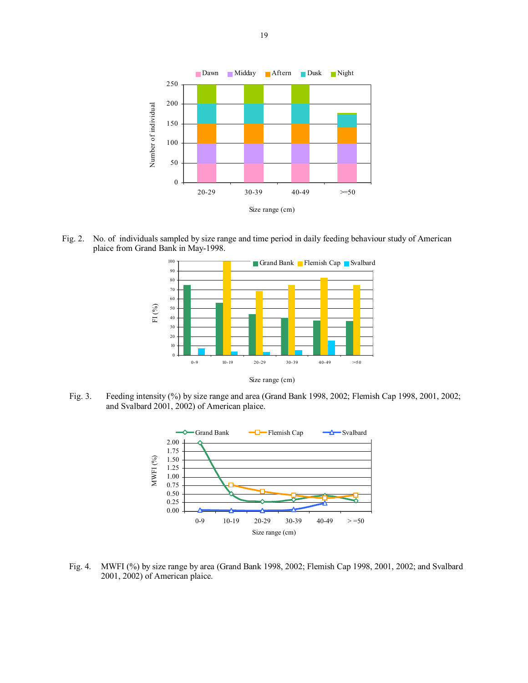

Fig. 2. No. of individuals sampled by size range and time period in daily feeding behaviour study of American plaice from Grand Bank in May-1998.



Fig. 3. Feeding intensity (%) by size range and area (Grand Bank 1998, 2002; Flemish Cap 1998, 2001, 2002; and Svalbard 2001, 2002) of American plaice.



 Fig. 4. MWFI (%) by size range by area (Grand Bank 1998, 2002; Flemish Cap 1998, 2001, 2002; and Svalbard 2001, 2002) of American plaice.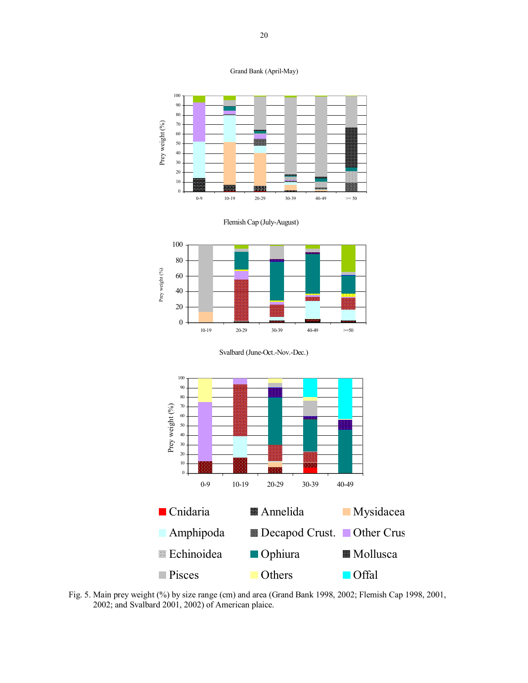







Svalbard (June-Oct.-Nov.-Dec.)



 Fig. 5. Main prey weight (%) by size range (cm) and area (Grand Bank 1998, 2002; Flemish Cap 1998, 2001, 2002; and Svalbard 2001, 2002) of American plaice.